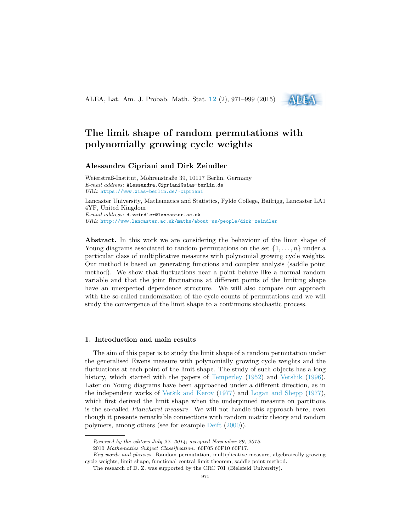ALEA, Lat. Am. J. Probab. Math. Stat. **[12](http://alea.impa.br/english/index_v12.htm)** (2), 971–999 (2015)



# **The limit shape of random permutations with polynomially growing cycle weights**

## **Alessandra Cipriani and Dirk Zeindler**

Weierstraß-Institut, Mohrenstraße 39, 10117 Berlin, Germany *E-mail address*: Alessandra.Cipriani@wias-berlin.de *URL*: <https://www.wias-berlin.de/~cipriani>

Lancaster University, Mathematics and Statistics, Fylde College, Bailrigg, Lancaster LA1 4YF, United Kingdom *E-mail address*: d.zeindler@lancaster.ac.uk *URL*: <http://www.lancaster.ac.uk/maths/about-us/people/dirk-zeindler>

**Abstract.** In this work we are considering the behaviour of the limit shape of Young diagrams associated to random permutations on the set  $\{1, \ldots, n\}$  under a particular class of multiplicative measures with polynomial growing cycle weights. Our method is based on generating functions and complex analysis (saddle point method). We show that fluctuations near a point behave like a normal random variable and that the joint fluctuations at different points of the limiting shape have an unexpected dependence structure. We will also compare our approach with the so-called randomization of the cycle counts of permutations and we will study the convergence of the limit shape to a continuous stochastic process.

## **1. Introduction and main results**

The aim of this paper is to study the limit shape of a random permutation under the generalised Ewens measure with polynomially growing cycle weights and the fluctuations at each point of the limit shape. The study of such objects has a long history, which started with the papers of [Temperley](#page-28-0) [\(1952](#page-28-0)) and [Vershik](#page-28-1) ([1996\)](#page-28-1). Later on Young diagrams have been approached under a different direction, as in the independent works of Veršik and Kerov  $(1977)$  $(1977)$  and [Logan and Shepp](#page-28-3)  $(1977)$  $(1977)$ , which first derived the limit shape when the underpinned measure on partitions is the so-called *Plancherel measure*. We will not handle this approach here, even though it presents remarkable connections with random matrix theory and random polymers, among others (see for example [Deift](#page-27-0) [\(2000](#page-27-0))).

*Received by the editors July 27, 2014; accepted November 29, 2015.*

<sup>2010</sup> *Mathematics Subject Classification.* 60F05 60F10 60F17.

*Key words and phrases.* Random permutation, multiplicative measure, algebraically growing cycle weights, limit shape, functional central limit theorem, saddle point method.

The research of D. Z. was supported by the CRC 701 (Bielefeld University).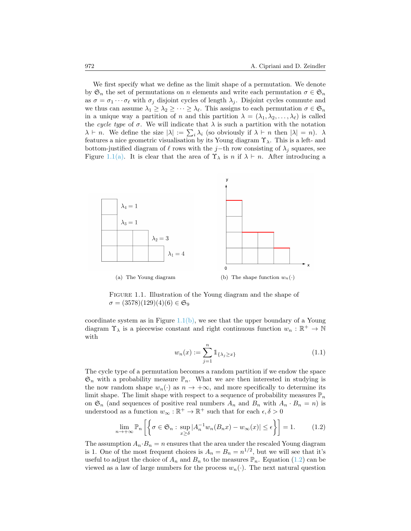We first specify what we define as the limit shape of a permutation. We denote by  $\mathfrak{S}_n$  the set of permutations on *n* elements and write each permutation  $\sigma \in \mathfrak{S}_n$ as  $\sigma = \sigma_1 \cdots \sigma_\ell$  with  $\sigma_j$  disjoint cycles of length  $\lambda_j$ . Disjoint cycles commute and we thus can assume  $\lambda_1 \geq \lambda_2 \geq \cdots \geq \lambda_\ell$ . This assigns to each permutation  $\sigma \in \mathfrak{S}_n$ in a unique way a partition of *n* and this partition  $\lambda = (\lambda_1, \lambda_2, \dots, \lambda_\ell)$  is called the *cycle type* of  $\sigma$ . We will indicate that  $\lambda$  is such a partition with the notation  $\lambda \vdash n$ . We define the size  $|\lambda| := \sum_i \lambda_i$  (so obviously if  $\lambda \vdash n$  then  $|\lambda| = n$ ).  $\lambda$ features a nice geometric visualisation by its Young diagram  $\Upsilon_{\lambda}$ . This is a left- and bottom-justified diagram of  $\ell$  rows with the *j*−th row consisting of  $\lambda_j$  squares, see Figure [1.1\(a\)](#page-1-0). It is clear that the area of  $\Upsilon_{\lambda}$  is *n* if  $\lambda \vdash n$ . After introducing a

<span id="page-1-0"></span>

Figure 1.1. Illustration of the Young diagram and the shape of  $\sigma = (3578)(129)(4)(6) \in \mathfrak{S}_9$ 

coordinate system as in Figure  $1.1(b)$ , we see that the upper boundary of a Young diagram  $\Upsilon_{\lambda}$  is a piecewise constant and right continuous function  $w_n : \mathbb{R}^+ \to \mathbb{N}$ with

<span id="page-1-3"></span><span id="page-1-2"></span><span id="page-1-1"></span>
$$
w_n(x) := \sum_{j=1}^n 1\!\!1_{\{\lambda_j \ge x\}}\tag{1.1}
$$

The cycle type of a permutation becomes a random partition if we endow the space  $\mathfrak{S}_n$  with a probability measure  $\mathbb{P}_n$ . What we are then interested in studying is the now random shape  $w_n(\cdot)$  as  $n \to +\infty$ , and more specifically to determine its limit shape. The limit shape with respect to a sequence of probability measures  $\mathbb{P}_n$ on  $\mathfrak{S}_n$  (and sequences of positive real numbers  $A_n$  and  $B_n$  with  $A_n \cdot B_n = n$ ) is understood as a function  $w_{\infty} : \mathbb{R}^+ \to \mathbb{R}^+$  such that for each  $\epsilon, \delta > 0$ 

$$
\lim_{n \to +\infty} \mathbb{P}_n \left[ \left\{ \sigma \in \mathfrak{S}_n : \sup_{x \ge \delta} |A_n^{-1} w_n(B_n x) - w_\infty(x)| \le \epsilon \right\} \right] = 1. \tag{1.2}
$$

The assumption  $A_n \cdot B_n = n$  ensures that the area under the rescaled Young diagram is 1. One of the most frequent choices is  $A_n = B_n = n^{1/2}$ , but we will see that it's usefulto adjust the choice of  $A_n$  and  $B_n$  to the measures  $\mathbb{P}_n$ . Equation ([1.2\)](#page-1-2) can be viewed as a law of large numbers for the process  $w_n(\cdot)$ . The next natural question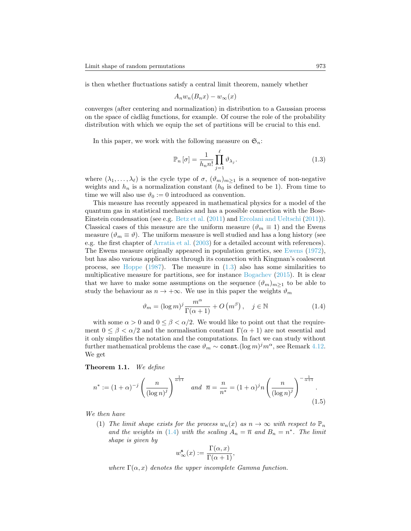is then whether fluctuations satisfy a central limit theorem, namely whether

$$
A_n w_n(B_n x) - w_\infty(x)
$$

converges (after centering and normalization) in distribution to a Gaussian process on the space of c`adl`ag functions, for example. Of course the role of the probability distribution with which we equip the set of partitions will be crucial to this end.

In this paper, we work with the following measure on  $\mathfrak{S}_n$ :

<span id="page-2-0"></span>
$$
\mathbb{P}_n\left[\sigma\right] = \frac{1}{h_n n!} \prod_{j=1}^{\ell} \vartheta_{\lambda_j}.
$$
\n(1.3)

where  $(\lambda_1, \ldots, \lambda_\ell)$  is the cycle type of  $\sigma$ ,  $(\vartheta_m)_{m \geq 1}$  is a sequence of non-negative weights and  $h_n$  is a normalization constant  $(h_0$  is defined to be 1). From time to time we will also use  $\vartheta_0 := 0$  introduced as convention.

This measure has recently appeared in mathematical physics for a model of the quantum gas in statistical mechanics and has a possible connection with the Bose-Einstein condensation (see e.g. [Betz et al.](#page-27-1) ([2011\)](#page-27-1) and [Ercolani and Ueltschi](#page-27-2) ([2011\)](#page-27-2)). Classical cases of this measure are the uniform measure ( $\vartheta_m \equiv 1$ ) and the Ewens measure ( $\vartheta_m \equiv \vartheta$ ). The uniform measure is well studied and has a long history (see e.g. the first chapter of [Arratia et al.](#page-27-3) ([2003](#page-27-3)) for a detailed account with references). The Ewens measure originally appeared in population genetics, see [Ewens](#page-27-4) ([1972\)](#page-27-4), but has also various applications through its connection with Kingman's coalescent process, see [Hoppe](#page-27-5) $(1987)$  $(1987)$ . The measure in  $(1.3)$  $(1.3)$  $(1.3)$  also has some similarities to multiplicative measure for partitions, see for instance [Bogachev](#page-27-6) [\(2015](#page-27-6)). It is clear that we have to make some assumptions on the sequence  $(\vartheta_m)_{m\geq 1}$  to be able to study the behaviour as  $n \to +\infty$ . We use in this paper the weights  $\vartheta_m$ 

<span id="page-2-1"></span>
$$
\vartheta_m = (\log m)^j \frac{m^{\alpha}}{\Gamma(\alpha + 1)} + O\left(m^{\beta}\right), \quad j \in \mathbb{N}
$$
\n(1.4)

with some  $\alpha > 0$  and  $0 \le \beta < \alpha/2$ . We would like to point out that the requirement  $0 \leq \beta < \alpha/2$  and the normalisation constant  $\Gamma(\alpha + 1)$  are not essential and it only simplifies the notation and the computations. In fact we can study without further mathematical problems the case  $\vartheta_m \sim \text{const.}(\log m)^j m^{\alpha}$ , see Remark [4.12.](#page-20-0) We get

<span id="page-2-2"></span>**Theorem 1.1.** *We define*

$$
n^* := (1 + \alpha)^{-j} \left(\frac{n}{(\log n)^j}\right)^{\frac{1}{\alpha + 1}} \quad \text{and} \quad \overline{n} = \frac{n}{n^*} = (1 + \alpha)^j n \left(\frac{n}{(\log n)^j}\right)^{-\frac{1}{\alpha + 1}}.
$$
\n(1.5)

*We then have*

(1) *The limit shape exists for the process*  $w_n(x)$  *as*  $n \to \infty$  *with respect to*  $\mathbb{P}_n$ *and the weights in* ([1.4\)](#page-2-1) *with the scaling*  $A_n = \overline{n}$  *and*  $B_n = n^*$ *. The limit shape is given by*

<span id="page-2-3"></span>
$$
w^{\mathbf{s}}_{\infty}(x) := \frac{\Gamma(\alpha, x)}{\Gamma(\alpha + 1)},
$$

*where*  $\Gamma(\alpha, x)$  *denotes the upper incomplete Gamma function.*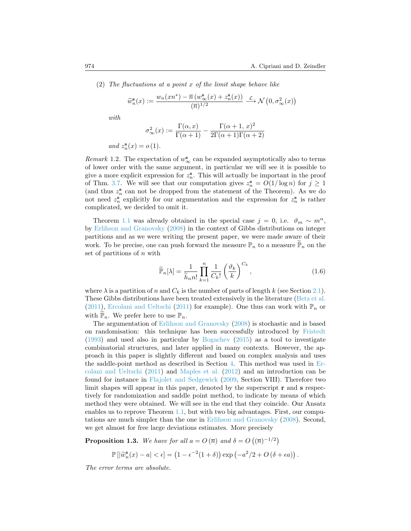(2) *The fluctuations at a point x of the limit shape behave like*

$$
\widetilde{w}^{\mathbf{s}}_n(x):=\frac{w_n(xn^*)-\overline{n}\left(w^{\mathbf{s}}_{\infty}(x)+z^{\mathbf{s}}_n(x)\right)}{(\overline{n})^{1/2}}\stackrel{\mathcal{L}}{\longrightarrow}\mathcal{N}\left(0,\sigma_{\infty}^2(x)\right)
$$

*with*

$$
\sigma_{\infty}^{2}(x) := \frac{\Gamma(\alpha, x)}{\Gamma(\alpha + 1)} - \frac{\Gamma(\alpha + 1, x)^{2}}{2\Gamma(\alpha + 1)\Gamma(\alpha + 2)}
$$

*and*  $z_n^{\mathbf{s}}(x) = o(1)$ *.* 

<span id="page-3-1"></span>*Remark* 1.2. The expectation of  $w^s_{\infty}$  can be expanded asymptotically also to terms of lower order with the same argument, in particular we will see it is possible to give a more explicit expression for  $z_n^s$ . This will actually be important in the proof of Thm. [3.7](#page-11-0). We will see that our computation gives  $z_n^s = O(1/\log n)$  for  $j \geq 1$ (and thus  $z_n^s$  can not be dropped from the statement of the Theorem). As we do not need  $z_n^s$  explicitly for our argumentation and the expression for  $z_n^s$  is rather complicated, we decided to omit it.

Theorem [1.1](#page-2-2) was already obtained in the special case  $j = 0$ , i.e.  $\vartheta_m \sim m^{\alpha}$ , by [Erlihson and Granovsky](#page-27-7) ([2008\)](#page-27-7) in the context of Gibbs distributions on integer partitions and as we were writing the present paper, we were made aware of their work. To be precise, one can push forward the measure  $\mathbb{P}_n$  to a measure  $\mathbb{P}_n$  on the set of partitions of *n* with

$$
\widetilde{\mathbb{P}}_n[\lambda] = \frac{1}{\widetilde{h}_n n!} \prod_{k=1}^n \frac{1}{C_k!} \left(\frac{\vartheta_k}{k}\right)^{C_k},\tag{1.6}
$$

where  $\lambda$  is a partition of *n* and  $C_k$  is the number of parts of length *k* (see Section [2.1\)](#page-4-0). These Gibbs distributions have been treated extensively in the literature([Betz et al.](#page-27-1) ([2011](#page-27-1)), [Ercolani and Ueltschi](#page-27-2) [\(2011](#page-27-2)) for example). One thus can work with  $\mathbb{P}_n$  or with  $\mathbb{P}_n$ . We prefer here to use  $\mathbb{P}_n$ .

The argumentation of [Erlihson and Granovsky](#page-27-7) [\(2008\)](#page-27-7) is stochastic and is based on randomisation: this technique has been successfully introduced by [Fristedt](#page-27-8) ([1993](#page-27-8)) and used also in particular by [Bogachev](#page-27-6) ([2015\)](#page-27-6) as a tool to investigate combinatorial structures, and later applied in many contexts. However, the approach in this paper is slightly different and based on complex analysis and uses the saddle-point method as described in Section [4.](#page-12-0) This method was used in [Er](#page-27-2)[colani and Ueltschi](#page-27-2) ([2011\)](#page-27-2) and [Maples et al.](#page-28-4) ([2012\)](#page-28-4) and an introduction can be found for instance in [Flajolet and Sedgewick](#page-27-9) [\(2009](#page-27-9), Section VIII). Therefore two limit shapes will appear in this paper, denoted by the superscript **r** and **s** respectively for randomization and saddle point method, to indicate by means of which method they were obtained. We will see in the end that they coincide. Our Ansatz enables us to reprove Theorem [1.1](#page-2-2), but with two big advantages. First, our computations are much simpler than the one in [Erlihson and Granovsky](#page-27-7) [\(2008](#page-27-7)). Second, we get almost for free large deviations estimates. More precisely

<span id="page-3-0"></span>**Proposition 1.3.** *We have for all*  $a = O(\overline{n})$  *and*  $\delta = O((\overline{n})^{-1/2})$ 

$$
\mathbb{P}\left[\left|\widetilde{w}_n^{\mathbf{s}}(x)-a\right|<\epsilon\right] = \left(1-\epsilon^{-2}(1+\delta)\right)\exp\left(-a^2/2+O\left(\delta+\epsilon a\right)\right).
$$

*The error terms are absolute.*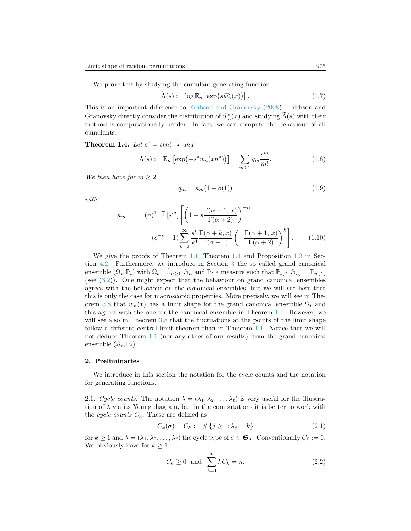We prove this by studying the cumulant generating function

$$
\widetilde{\Lambda}(s) := \log \mathbb{E}_n \left[ \exp(s \widetilde{w}_n^{\mathbf{s}}(x)) \right]. \tag{1.7}
$$

This is an important difference to [Erlihson and Granovsky](#page-27-7) [\(2008\)](#page-27-7). Erlihson and Granovsky directly consider the distribution of  $\widetilde{w}_n^s(x)$  and studying  $\widetilde{\Lambda}(s)$  with their method is computationally harder. In fact, we can compute the behaviour of all method is computationally harder. In fact, we can compute the behaviour of all cumulants.

<span id="page-4-1"></span>**Theorem 1.4.** *Let*  $s^* = s(\overline{n})^{-\frac{1}{2}}$  *and* 

<span id="page-4-2"></span>
$$
\Lambda(s) := \mathbb{E}_n \left[ \exp\left(-s^* w_n(xn^*)\right) \right] = \sum_{m \ge 1} q_m \frac{s^m}{m!}.\tag{1.8}
$$

*We then have for*  $m \geq 2$ 

$$
q_m = \kappa_m (1 + o(1)) \tag{1.9}
$$

*with*

$$
\kappa_m = (\overline{n})^{1-\frac{m}{2}} [s^m] \left[ \left( 1 - s \frac{\Gamma(\alpha+1, x)}{\Gamma(\alpha+2)} \right)^{-\alpha} + (e^{-s} - 1) \sum_{k=0}^{\infty} \frac{s^k}{k!} \frac{\Gamma(\alpha+k, x)}{\Gamma(\alpha+1)} \left( -\frac{\Gamma(\alpha+1, x)}{\Gamma(\alpha+2)} \right)^k \right].
$$
 (1.10)

We give the proofs of Theorem [1.1,](#page-2-2) Theorem [1.4](#page-4-1) and Proposition [1.3](#page-3-0) in Section [4.2](#page-15-0). Furthermore, we introduce in Section [3](#page-7-0) the so called grand canonical *.* ensemble  $(\Omega_t, \mathbb{P}_t)$  with  $\Omega_t = \cup_{n \geq 1} \mathfrak{S}_n$  and  $\mathbb{P}_t$  a measure such that  $\mathbb{P}_t[\cdot | \mathfrak{S}_n] = \mathbb{P}_n[\cdot]$ (see [\(3.2](#page-8-0))). One might expect that the behaviour on grand canonical ensembles agrees with the behaviour on the canonical ensembles, but we will see here that this is only the case for macroscopic properties. More precisely, we will see in The-orem [3.8](#page-10-0) that  $w_n(x)$  has a limit shape for the grand canonical ensemble  $\Omega_t$  and this agrees with the one for the canonical ensemble in Theorem [1.1.](#page-2-2) However, we will see also in Theorem [3.8](#page-10-0) that the fluctuations at the points of the limit shape follow a different central limit theorem than in Theorem [1.1](#page-2-2). Notice that we will not deduce Theorem [1.1](#page-2-2) (nor any other of our results) from the grand canonical ensemble  $(\Omega_t, \mathbb{P}_t)$ .

## **2. Preliminaries**

We introduce in this section the notation for the cycle counts and the notation for generating functions.

<span id="page-4-0"></span>2.1. *Cycle counts.* The notation  $\lambda = (\lambda_1, \lambda_2, \dots, \lambda_\ell)$  is very useful for the illustration of  $\lambda$  via its Young diagram, but in the computations it is better to work with the *cycle counts*  $C_k$ . These are defined as

$$
C_k(\sigma) = C_k := \# \{ j \ge 1; \lambda_j = k \}
$$
\n(2.1)

for  $k \geq 1$  and  $\lambda = (\lambda_1, \lambda_2, \dots, \lambda_\ell)$  the cycle type of  $\sigma \in \mathfrak{S}_n$ . Conventionally  $C_0 := 0$ . We obviously have for  $k \geq 1$ 

$$
C_k \ge 0 \quad \text{and} \quad \sum_{k=1}^n k C_k = n. \tag{2.2}
$$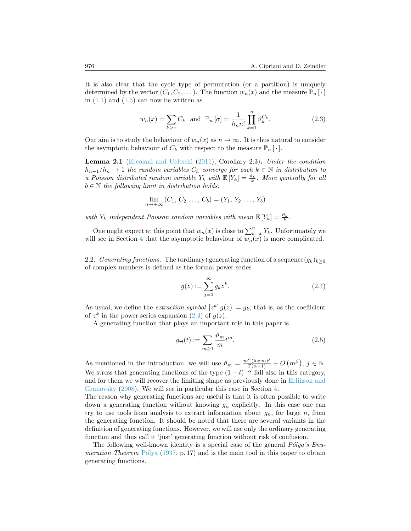It is also clear that the cycle type of permutation (or a partition) is uniquely determined by the vector  $(C_1, C_2, \ldots)$ . The function  $w_n(x)$  and the measure  $\mathbb{P}_n[\cdot]$ in  $(1.1)$  and  $(1.3)$  can now be written as

<span id="page-5-2"></span>
$$
w_n(x) = \sum_{k \ge x} C_k \quad \text{and} \quad \mathbb{P}_n\left[\sigma\right] = \frac{1}{h_n n!} \prod_{k=1}^n \vartheta_k^{C_k}.
$$
 (2.3)

Our aim is to study the behaviour of  $w_n(x)$  as  $n \to \infty$ . It is thus natural to consider the asymptotic behaviour of  $C_k$  with respect to the measure  $\mathbb{P}_n[\cdot]$ .

<span id="page-5-3"></span>**Lemma 2.1** ([Ercolani and Ueltschi](#page-27-2) [\(2011](#page-27-2)), Corollary 2.3)**.** *Under the condition h*<sub>*n*−1</sub>/*h*<sub>*n*</sub>  $\rightarrow$  1 *the random variables*  $C_k$  *converge for each*  $k \in \mathbb{N}$  *in distribution to a Poisson distributed random variable*  $Y_k$  *with*  $\mathbb{E}[Y_k] = \frac{\vartheta_k}{k}$ . More generally for all  $b \in \mathbb{N}$  *the following limit in distribution holds:* 

$$
\lim_{n \to +\infty} (C_1, C_2 \dots, C_b) = (Y_1, Y_2 \dots, Y_b)
$$

*with*  $Y_k$  *independent Poisson random variables with mean*  $\mathbb{E}[Y_k] = \frac{\vartheta_k}{k}$ .

One might expect at this point that  $w_n(x)$  is close to  $\sum_{k=x}^{n} Y_k$ . Unfortunately we will see in Section [4](#page-12-0) that the asymptotic behaviour of  $w_n(x)$  is more complicated.

2.2. *Generating functions.* The (ordinary) generating function of a sequence  $(q_k)_{k>0}$ of complex numbers is defined as the formal power series

<span id="page-5-0"></span>
$$
g(z) := \sum_{j=0}^{\infty} g_k z^k.
$$
 (2.4)

As usual, we define the *extraction symbol*  $[z^k] g(z) := g_k$ , that is, as the coefficient of $z^k$  in the power series expansion ([2.4\)](#page-5-0) of  $g(z)$ .

A generating function that plays an important role in this paper is

<span id="page-5-1"></span>
$$
g_{\Theta}(t) := \sum_{m \ge 1} \frac{\vartheta_m}{m} t^m.
$$
\n(2.5)

As mentioned in the introduction, we will use  $\vartheta_m = \frac{m^{\alpha}(\log m)^j}{\Gamma(\alpha+1)} + O(m^{\beta}), j \in \mathbb{N}.$ We stress that generating functions of the type  $(1-t)^{-\alpha}$  fall also in this category, and for them we will recover the limiting shape as previously done in [Erlihson and](#page-27-7) [Granovsky](#page-27-7) ([2008](#page-27-7)). We will see in particular this case in Section [4](#page-12-0).

The reason why generating functions are useful is that it is often possible to write down a generating function without knowing *g<sup>n</sup>* explicitly. In this case one can try to use tools from analysis to extract information about  $g_n$ , for large  $n$ , from the generating function. It should be noted that there are several variants in the definition of generating functions. However, we will use only the ordinary generating function and thus call it 'just' generating function without risk of confusion.

The following well-known identity is a special case of the general  $P\'{o}lya's Enu$ *meration Theorem* P<sup> $\delta$ </sup>lya [\(1937](#page-28-5), p. 17) and is the main tool in this paper to obtain generating functions.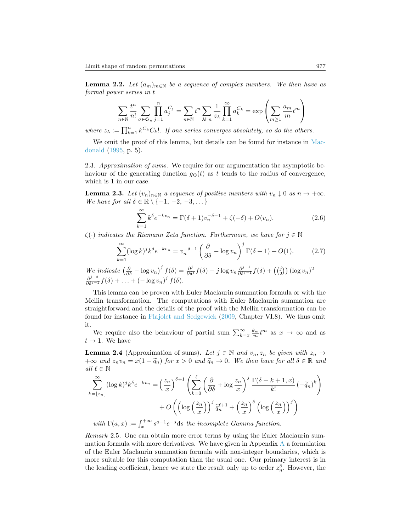<span id="page-6-0"></span>**Lemma 2.2.** *Let*  $(a_m)_{m \in \mathbb{N}}$  *be a sequence of complex numbers. We then have as formal power series in t*

$$
\sum_{n\in\mathbb{N}}\frac{t^n}{n!}\sum_{\sigma\in\mathfrak{S}_n}\prod_{j=1}^n a_j^{C_j} = \sum_{n\in\mathbb{N}}t^n\sum_{\lambda\vdash n}\frac{1}{z_\lambda}\prod_{k=1}^\infty a_k^{C_k} = \exp\left(\sum_{m\geq 1}\frac{a_m}{m}t^m\right)
$$

*where*  $z_{\lambda} := \prod_{k=1}^{n} k^{C_k} C_k!$ *. If one series converges absolutely, so do the others.* 

We omit the proof of this lemma, but details can be found for instance in [Mac](#page-28-6)[donald](#page-28-6) [\(1995](#page-28-6), p. 5).

2.3. *Approximation of sums.* We require for our argumentation the asymptotic behaviour of the generating function  $g_{\Theta}(t)$  as t tends to the radius of convergence, which is 1 in our case.

<span id="page-6-1"></span>**Lemma 2.3.** Let  $(v_n)_{n \in \mathbb{N}}$  a sequence of positive numbers with  $v_n \downarrow 0$  as  $n \to +\infty$ . *We have for all*  $\delta \in \mathbb{R} \setminus \{-1, -2, -3, \dots\}$ 

$$
\sum_{k=1}^{\infty} k^{\delta} e^{-kv_n} = \Gamma(\delta + 1)v_n^{-\delta - 1} + \zeta(-\delta) + O(v_n).
$$
 (2.6)

*ζ*(*·*) *indicates the Riemann Zeta function. Furthermore, we have for j ∈* N

$$
\sum_{k=1}^{\infty} (\log k)^j k^{\delta} e^{-kv_n} = v_n^{-\delta - 1} \left( \frac{\partial}{\partial \delta} - \log v_n \right)^j \Gamma(\delta + 1) + O(1). \tag{2.7}
$$

We indicate  $\left(\frac{\partial}{\partial \delta} - \log v_n\right)^j f(\delta) = \frac{\partial^j}{\partial \delta^j} f(\delta) - j \log v_n \frac{\partial^{j-1}}{\partial \delta^{j-1}} f(\delta) + \left(\binom{j}{2}\right) (\log v_n)^2$  $\frac{\partial^{j-2}}{\partial \delta^{j-2}} f(\delta) + \ldots + (-\log v_n)^j f(\delta).$ 

This lemma can be proven with Euler Maclaurin summation formula or with the Mellin transformation. The computations with Euler Maclaurin summation are straightforward and the details of the proof with the Mellin transformation can be found for instance in [Flajolet and Sedgewick](#page-27-9) ([2009,](#page-27-9) Chapter VI.8). We thus omit it.

We require also the behaviour of partial sum  $\sum_{k=x}^{\infty} \frac{\theta_m}{m} t^m$  as  $x \to \infty$  and as  $t \rightarrow 1$ . We have

<span id="page-6-2"></span>**Lemma 2.4** (Approximation of sums). Let  $j \in \mathbb{N}$  and  $v_n, z_n$  be given with  $z_n \to z_n$  $+\infty$  *and*  $z_n v_n = x(1 + \tilde{q}_n)$  *for*  $x > 0$  *and*  $\tilde{q}_n \to 0$ *. We then have for all*  $\delta \in \mathbb{R}$  *and all*  $\ell \in \mathbb{N}$ 

$$
\sum_{k=\lfloor z_n \rfloor}^{\infty} (\log k)^j k^{\delta} e^{-kv_n} = \left(\frac{z_n}{x}\right)^{\delta+1} \left(\sum_{k=0}^{\ell} \left(\frac{\partial}{\partial \delta} + \log \frac{z_n}{x}\right)^j \frac{\Gamma(\delta + k + 1, x)}{k!} \left(-\tilde{q}_n\right)^k\right) + O\left(\left(\log \left(\frac{z_n}{x}\right)\right)^j \tilde{q}_n^{\ell+1} + \left(\frac{z_n}{x}\right)^{\delta} \left(\log \left(\frac{z_n}{x}\right)\right)^j\right)
$$

*with*  $\Gamma(a, x) := \int_x^{+\infty} s^{a-1} e^{-s} ds$  *the incomplete Gamma function.* 

*Remark* 2.5*.* One can obtain more error terms by using the Euler Maclaurin sum-mation formula with more derivatives. We have given in [A](#page-25-0)ppendix  $A$  a formulation of the Euler Maclaurin summation formula with non-integer boundaries, which is more suitable for this computation than the usual one. Our primary interest is in the leading coefficient, hence we state the result only up to order  $z_n^{\delta}$ . However, the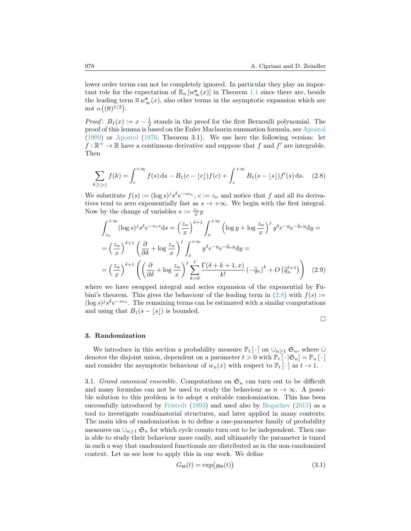lower order terms can not be completely ignored. In particular they play an important role for the expectation of  $\mathbb{E}_n[w^{\mathbf{s}}_{\infty}(x)]$  in Theorem [1.1](#page-2-2) since there are, beside the leading term  $\overline{n} w_{\infty}^{\mathbf{s}}(x)$ , also other terms in the asymptotic expansion which are not  $o((\overline{n})^{1/2})$ .

*Proof*:  $B_1(x) := x - \frac{1}{2}$  stands in the proof for the first Bernoulli polynomial. The proof of this lemma is based on the Euler Maclaurin summation formula, see [Apostol](#page-27-10) ([1999](#page-27-10)) or [Apostol](#page-27-11) ([1976](#page-27-11), Theorem 3.1). We use here the following version: let  $f: \mathbb{R}^+ \to \mathbb{R}$  have a continuous derivative and suppose that  $f$  and  $f'$  are integrable. Then

$$
\sum_{k \geq \lfloor c \rfloor} f(k) = \int_{c}^{+\infty} f(s) \, ds - B_1(c - \lfloor c \rfloor) f(c) + \int_{c}^{+\infty} B_1(s - \lfloor s \rfloor) f'(s) \, ds. \tag{2.8}
$$

We substitute  $f(s) := (\log s)^j s^{\delta} e^{-s v_n}, c := z_n$  and notice that *f* and all its derivatives tend to zero exponentially fast as  $s \to +\infty$ . We begin with the first integral. Now by the change of variables  $s := \frac{z_n}{x}y$ 

$$
\int_{z_n}^{+\infty} (\log s)^j s^{\delta} e^{-v_n s} ds = \left(\frac{z_n}{x}\right)^{\delta+1} \int_x^{+\infty} \left(\log y + \log \frac{z_n}{x}\right)^j y^{\delta} e^{-y} e^{-\widetilde{q}_n y} dy =
$$

$$
= \left(\frac{z_n}{x}\right)^{\delta+1} \left(\frac{\partial}{\partial \delta} + \log \frac{z_n}{x}\right)^j \int_x^{+\infty} y^{\delta} e^{-y} e^{-\widetilde{q}_n y} dy =
$$

$$
= \left(\frac{z_n}{x}\right)^{\delta+1} \left(\left(\frac{\partial}{\partial \delta} + \log \frac{z_n}{x}\right)^j \sum_{k=0}^{\ell} \frac{\Gamma(\delta + k + 1, x)}{k!} \left(-\widetilde{q}_n\right)^k + O\left(\widetilde{q}_n^{\ell+1}\right)\right) \tag{2.9}
$$

where we have swapped integral and series expansion of the exponential by Fubini'stheorem. This gives the behaviour of the leading term in  $(2.8)$  $(2.8)$  $(2.8)$  with  $f(s)$  :=  $(\log s)^{j} s^{\delta} e^{-s v_n}$ . The remaining terms can be estimated with a similar computations and using that  $B_1(s - \lfloor s \rfloor)$  is bounded.

<span id="page-7-1"></span>
$$
\Box
$$

#### <span id="page-7-0"></span>**3. Randomization**

We introduce in this section a probability measure  $\mathbb{P}_t[\cdot]$  on  $\dot{\cup}_{n\geq 1} \mathfrak{S}_n$ , where  $\dot{\cup}$ denotes the disjoint union, dependent on a parameter  $t > 0$  with  $\mathbb{P}_t \left[ \cdot | \mathfrak{S}_n \right] = \mathbb{P}_n \left[ \cdot \right]$ and consider the asymptotic behaviour of  $w_n(x)$  with respect to  $\mathbb{P}_t[\cdot]$  as  $t \to 1$ .

3.1. *Grand canonical ensemble.* Computations on  $\mathfrak{S}_n$  can turn out to be difficult and many formulas can not be used to study the behaviour as  $n \to \infty$ . A possible solution to this problem is to adopt a suitable randomization. This has been successfully introduced by [Fristedt](#page-27-8) [\(1993](#page-27-8)) and used also by [Bogachev](#page-27-6) [\(2015](#page-27-6)) as a tool to investigate combinatorial structures, and later applied in many contexts. The main idea of randomization is to define a one-parameter family of probability *.* measures on  $\cup_{n\geq 1}$   $\mathfrak{S}_n$  for which cycle counts turn out to be independent. Then one is able to study their behaviour more easily, and ultimately the parameter is tuned in such a way that randomized functionals are distributed as in the non-randomized context. Let us see how to apply this in our work. We define

$$
G_{\Theta}(t) = \exp(g_{\Theta}(t))\tag{3.1}
$$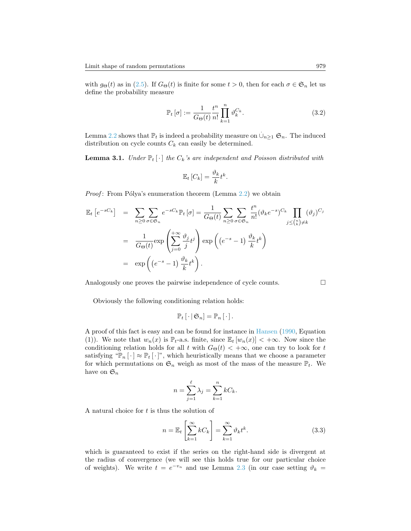with  $g_{\Theta}(t)$  as in [\(2.5\)](#page-5-1). If  $G_{\Theta}(t)$  is finite for some  $t > 0$ , then for each  $\sigma \in \mathfrak{S}_n$  let us define the probability measure

<span id="page-8-0"></span>
$$
\mathbb{P}_t\left[\sigma\right] := \frac{1}{G_{\Theta}(t)} \frac{t^n}{n!} \prod_{k=1}^n \vartheta_k^{C_k}.
$$
\n(3.2)

Lemma [2.2](#page-6-0) shows that  $\mathbb{P}_t$  is indeed a probability measure on  $\dot{\cup}_{n\geq 1}$   $\mathfrak{S}_n$ . The induced distribution on cycle counts  $C_k$  can easily be determined.

<span id="page-8-1"></span>**Lemma 3.1.** *Under*  $\mathbb{P}_t[\cdot]$  *the*  $C_k$ *'s are independent and Poisson distributed with* 

$$
\mathbb{E}_t\left[C_k\right] = \frac{\vartheta_k}{k} t^k.
$$

*Proof*: From Pólya's enumeration theorem (Lemma [2.2\)](#page-6-0) we obtain

$$
\mathbb{E}_{t}\left[e^{-sC_{k}}\right] = \sum_{n\geq 0} \sum_{\sigma \in \mathfrak{S}_{n}} e^{-sC_{k}} \mathbb{P}_{t}\left[\sigma\right] = \frac{1}{G_{\Theta}(t)} \sum_{n\geq 0} \sum_{\sigma \in \mathfrak{S}_{n}} \frac{t^{n}}{n!} (\vartheta_{k} e^{-s})^{C_{k}} \prod_{j\leq {n \choose k} \neq k} (\vartheta_{j})^{C_{j}}
$$

$$
= \frac{1}{G_{\Theta}(t)} \exp\left(\sum_{j=0}^{+\infty} \frac{\vartheta_{j}}{j} t^{j}\right) \exp\left((e^{-s}-1)\frac{\vartheta_{k}}{k} t^{k}\right)
$$

$$
= \exp\left((e^{-s}-1)\frac{\vartheta_{k}}{k} t^{k}\right).
$$

Analogously one proves the pairwise independence of cycle counts.

Obviously the following conditioning relation holds:

$$
\mathbb{P}_{t}\left[\cdot \,|\, \mathfrak{S}_{n}\right]=\mathbb{P}_{n}\left[\cdot \right].
$$

A proof of this fact is easy and can be found for instance in [Hansen](#page-27-12) [\(1990](#page-27-12), Equation (1)). We note that  $w_n(x)$  is  $\mathbb{P}_{t}$ -a.s. finite, since  $\mathbb{E}_t [w_n(x)] < +\infty$ . Now since the conditioning relation holds for all *t* with  $G_{\Theta}(t) < +\infty$ , one can try to look for *t* satisfying " $\mathbb{P}_n[\cdot] \approx \mathbb{P}_t[\cdot]$ ", which heuristically means that we choose a parameter for which permutations on  $\mathfrak{S}_n$  weigh as most of the mass of the measure  $\mathbb{P}_t$ . We have on  $\mathfrak{S}_n$ 

$$
n = \sum_{j=1}^{\ell} \lambda_j = \sum_{k=1}^{n} kC_k.
$$

A natural choice for *t* is thus the solution of

$$
n = \mathbb{E}_t \left[ \sum_{k=1}^{\infty} k C_k \right] = \sum_{k=1}^{\infty} \vartheta_k t^k.
$$
 (3.3)

which is guaranteed to exist if the series on the right-hand side is divergent at the radius of convergence (we will see this holds true for our particular choice of weights). We write  $t = e^{-v_n}$  and use Lemma [2.3](#page-6-1) (in our case setting  $\vartheta_k =$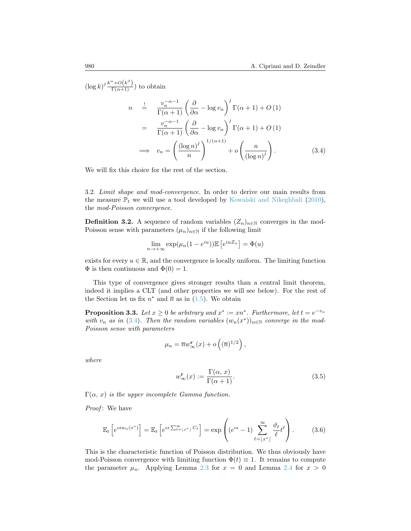$(\log k)^j \frac{k^{\alpha} + O(k^{\beta})}{\Gamma(\alpha+1)})$  to obtain

<span id="page-9-0"></span>
$$
n \stackrel{!}{=} \frac{v_n^{-\alpha-1}}{\Gamma(\alpha+1)} \left(\frac{\partial}{\partial \alpha} - \log v_n\right)^j \Gamma(\alpha+1) + O(1)
$$
  
\n
$$
= \frac{v_n^{-\alpha-1}}{\Gamma(\alpha+1)} \left(\frac{\partial}{\partial \alpha} - \log v_n\right)^j \Gamma(\alpha+1) + O(1)
$$
  
\n
$$
\implies v_n = \left(\frac{(\log n)^j}{n}\right)^{1/(\alpha+1)} + o\left(\frac{n}{(\log n)^j}\right). \tag{3.4}
$$

We will fix this choice for the rest of the section.

3.2. *Limit shape and mod-convergence.* In order to derive our main results from the measure  $\mathbb{P}_t$  we will use a tool developed by [Kowalski and Nikeghbali](#page-28-7) ([2010\)](#page-28-7), the *mod-Poisson convergence*.

**Definition 3.2.** A sequence of random variables  $(Z_n)_{n\in\mathbb{N}}$  converges in the mod-Poisson sense with parameters  $(\mu_n)_{n \in \mathbb{N}}$  if the following limit

$$
\lim_{n \to +\infty} \exp(\mu_n(1 - e^{iu})) \mathbb{E}\left[e^{iuZ_n}\right] = \Phi(u)
$$

exists for every  $u \in \mathbb{R}$ , and the convergence is locally uniform. The limiting function  $\Phi$  is then continuous and  $\Phi(0) = 1$ .

This type of convergence gives stronger results than a central limit theorem, indeed it implies a CLT (and other properties we will see below). For the rest of the Section let us fix  $n^*$  and  $\overline{n}$  as in [\(1.5](#page-2-3)). We obtain

<span id="page-9-2"></span>**Proposition 3.3.** *Let*  $x \geq 0$  *be arbitrary and*  $x^* := xn^*$ *. Furthermore, let*  $t = e^{-v_n}$ *with*  $v_n$  *as in* ([3.4\)](#page-9-0)*. Then the random variables*  $(w_n(x^*))_{n \in \mathbb{N}}$  *converge in the mod-Poisson sense with parameters*

$$
\mu_n = \overline{n} w_{\infty}^{\mathbf{r}}(x) + o\left((\overline{n})^{1/2}\right),
$$

*where*

<span id="page-9-1"></span>
$$
w^{\mathbf{r}}_{\infty}(x) := \frac{\Gamma(\alpha, x)}{\Gamma(\alpha + 1)}.
$$
\n(3.5)

 $\Gamma(\alpha, x)$  *is the upper incomplete Gamma function.* 

*Proof* : We have

$$
\mathbb{E}_t\left[e^{isw_n(x^*)}\right] = \mathbb{E}_t\left[e^{is\sum_{\ell=1}^\infty x^*\right]} C_\ell\right] = \exp\left((e^{is}-1)\sum_{\ell=1}^\infty \frac{\vartheta_\ell}{\ell}t^\ell\right). \tag{3.6}
$$

This is the characteristic function of Poisson distribution. We thus obviously have mod-Poisson convergence with limiting function  $\Phi(t) \equiv 1$ . It remains to compute the parameter  $\mu_n$ . Applying Lemma [2.3](#page-6-1) for  $x = 0$  and Lemma [2.4](#page-6-2) for  $x > 0$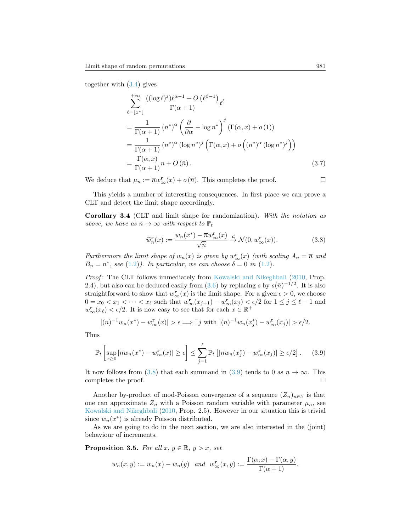together with([3.4](#page-9-0)) gives

$$
\sum_{\ell=\lfloor x^* \rfloor}^{+\infty} \frac{\left( (\log \ell)^j \right) \ell^{\alpha-1} + O\left(\ell^{\beta-1}\right)}{\Gamma(\alpha+1)} t^{\ell}
$$
\n
$$
= \frac{1}{\Gamma(\alpha+1)} \left( n^* \right)^{\alpha} \left( \frac{\partial}{\partial \alpha} - \log n^* \right)^j (\Gamma(\alpha, x) + o(1))
$$
\n
$$
= \frac{1}{\Gamma(\alpha+1)} \left( n^* \right)^{\alpha} (\log n^*)^j \left( \Gamma(\alpha, x) + o\left( (n^*)^{\alpha} (\log n^*)^j \right) \right)
$$
\n
$$
= \frac{\Gamma(\alpha, x)}{\Gamma(\alpha+1)} \overline{n} + O\left( \overline{n} \right). \tag{3.7}
$$

We deduce that  $\mu_n := \overline{n} w_{\infty}^{\mathbf{r}}(x) + o(\overline{n})$ . This completes the proof.

This yields a number of interesting consequences. In first place we can prove a CLT and detect the limit shape accordingly.

**Corollary 3.4** (CLT and limit shape for randomization)**.** *With the notation as above, we have as*  $n \to \infty$  *with respect to*  $\mathbb{P}_t$ 

<span id="page-10-1"></span><span id="page-10-0"></span>
$$
\widetilde{w}_n^{\mathbf{r}}(x) := \frac{w_n(x^*) - \overline{n}w^{\mathbf{r}}_{\infty}(x)}{\sqrt{\overline{n}}} \xrightarrow{\mathcal{L}} \mathcal{N}(0, w^{\mathbf{r}}_{\infty}(x)).
$$
\n(3.8)

*Furthermore the limit shape of*  $w_n(x)$  *is given by*  $w_{\infty}^{\mathbf{r}}(x)$  *(with scaling*  $A_n = \overline{n}$  *and B*<sub>n</sub> =  $n^*$ , see [\(1.2\)](#page-1-2)*). In particular, we can choose*  $\delta = 0$  *in* (1.2)*.* 

*Proof* : The CLT follows immediately from [Kowalski and Nikeghbali](#page-28-7) ([2010,](#page-28-7) Prop. 2.4),but also can be deduced easily from  $(3.6)$  $(3.6)$  by replacing *s* by  $s(\bar{n})^{-1/2}$ . It is also straightforward to show that  $w^{\mathbf{r}}_{\infty}(x)$  is the limit shape. For a given  $\epsilon > 0$ , we choose  $0 = x_0 < x_1 < \cdots < x_\ell$  such that  $w^{\mathbf{r}}_{\infty}(x_{j+1}) - w^{\mathbf{r}}_{\infty}(x_j) < \epsilon/2$  for  $1 \leq j \leq \ell - 1$  and  $w^{\mathbf{r}}_{\infty}(x_{\ell}) < \epsilon/2$ . It is now easy to see that for each  $x \in \mathbb{R}^+$ 

$$
|(\overline{n})^{-1}w_n(x^*) - w^{\mathbf{r}}_{\infty}(x)| > \epsilon \Longrightarrow \exists j \text{ with } |(\overline{n})^{-1}w_n(x_j^*) - w^{\mathbf{r}}_{\infty}(x_j)| > \epsilon/2.
$$

Thus

$$
\mathbb{P}_t\left[\sup_{x\geq 0} |\overline{n}w_n(x^*) - w^{\mathbf{r}}_{\infty}(x)| \geq \epsilon\right] \leq \sum_{j=1}^{\ell} \mathbb{P}_t\left[|\overline{n}w_n(x_j^*) - w^{\mathbf{r}}_{\infty}(x_j)| \geq \epsilon/2\right].\tag{3.9}
$$

It now follows from [\(3.8](#page-10-0)) that each summand in [\(3.9](#page-10-1)) tends to 0 as  $n \to \infty$ . This completes the proof.  $\Box$ 

Another by-product of mod-Poisson convergence of a sequence  $(Z_n)_{n\in\mathbb{N}}$  is that one can approximate  $Z_n$  with a Poisson random variable with parameter  $\mu_n$ , see [Kowalski and Nikeghbali](#page-28-7) [\(2010](#page-28-7), Prop. 2.5). However in our situation this is trivial since  $w_n(x^*)$  is already Poisson distributed.

As we are going to do in the next section, we are also interested in the (joint) behaviour of increments.

<span id="page-10-2"></span>**Proposition 3.5.** *For all*  $x, y \in \mathbb{R}, y > x$ *, set* 

$$
w_n(x, y) := w_n(x) - w_n(y)
$$
 and  $w_\infty^{\mathbf{r}}(x, y) := \frac{\Gamma(\alpha, x) - \Gamma(\alpha, y)}{\Gamma(\alpha + 1)}$ .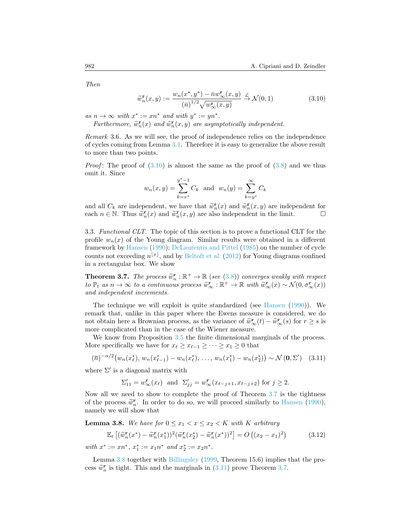*Then*

<span id="page-11-1"></span>
$$
\widetilde{w}_n^{\mathbf{r}}(x,y) := \frac{w_n(x^*, y^*) - \bar{n}w_\infty^{\mathbf{r}}(x,y)}{(\bar{n})^{1/2}\sqrt{w_\infty^{\mathbf{r}}(x,y)}} \xrightarrow{\mathcal{L}} \mathcal{N}(0,1)
$$
\n(3.10)

 $as n \to \infty$  *with*  $x^* := xn^*$  *and with*  $y^* := yn^*$ .

*Furthermore,*  $\widetilde{w}_n^{\mathbf{r}}(x)$  *and*  $\widetilde{w}_n^{\mathbf{r}}(x, y)$  *are asymptotically independent.* 

*Remark* 3.6*.* As we will see, the proof of independence relies on the independence of cycles coming from Lemma [3.1](#page-8-1). Therefore it is easy to generalize the above result to more than two points.

*Proof*:The proof of  $(3.10)$  is almost the same as the proof of  $(3.8)$  $(3.8)$  and we thus omit it. Since

$$
w_n(x, y) = \sum_{k=x^*}^{y^*-1} C_k
$$
 and  $w_n(y) = \sum_{k=y^*}^{\infty} C_k$ 

and all  $C_k$  are independent, we have that  $\widetilde{w}_n^{\mathbf{r}}(x)$  and  $\widetilde{w}_n^{\mathbf{r}}(x,y)$  are independent for each  $n \in \mathbb{N}$ . Thus  $\widetilde{w}^{\mathbf{r}}(x)$  and  $\widetilde{w}^{\mathbf{r}}(x,y)$  are also independent in the limit each *n* ∈ N. Thus  $\widetilde{w}_n^{\mathbf{r}}(x)$  and  $\widetilde{w}_n^{\mathbf{r}}(x, y)$  are also independent in the limit.  $\Box$ 

<span id="page-11-4"></span>3.3. *Functional CLT.* The topic of this section is to prove a functional CLT for the profile  $w_n(x)$  of the Young diagram. Similar results were obtained in a different framework by [Hansen](#page-27-12) ([1990\)](#page-27-12); [DeLaurentis and Pittel](#page-27-13) [\(1985](#page-27-13)) on the number of cycle counts not exceeding  $n^{[x]}$ , and by [Beltoft et al.](#page-27-14) ([2012\)](#page-27-14) for Young diagrams confined in a rectangular box. We show

<span id="page-11-0"></span>**Theorem 3.7.** *The process*  $\widetilde{w}_n^{\mathbf{r}} : \mathbb{R}^+ \to \mathbb{R}$  (see [\(3.8\)](#page-10-0)) *converges weakly with respect*  $t \in \mathbb{R}^+$  as  $n \to \infty$  *to a continuous process*  $\widetilde{w}^{\mathbf{r}} : \mathbb{R}^+ \to \mathbb{R}$  with  $\widetilde{w}^{\mathbf{r}}(x) \circ \math$ to  $\mathbb{P}_t$  as  $n \to \infty$  to a continuous process  $\widetilde{w}_{\infty}^{\mathbf{r}} : \mathbb{R}^+ \to \mathbb{R}$  with  $\widetilde{w}_{\infty}^{\mathbf{r}}(x) \sim \mathcal{N}(0, \sigma_{\infty}^{\mathbf{r}}(x))$ *and independent increments.*

The technique we will exploit is quite standardized (see [Hansen](#page-27-12) ([1990](#page-27-12))). We remark that, unlike in this paper where the Ewens measure is considered, we do not obtain here a Brownian process, as the variance of  $\tilde{w}_{\infty}^{\mathbf{r}}(t) - \tilde{w}_{\infty}^{\mathbf{r}}(s)$  for  $r \geq s$  is more complicated than in the case of the Wiener measure more complicated than in the case of the Wiener measure.

We know from Proposition [3.5](#page-10-2) the finite dimensional marginals of the process. More specifically we have for  $x_{\ell} \geq x_{\ell-1} \geq \cdots \geq x_1 \geq 0$  that

$$
(\overline{n})^{-\alpha/2} \big( w_n(x_\ell^*), w_n(x_{\ell-1}^*) - w_n(x_\ell^*), \dots, w_n(x_1^*) - w_n(x_2^*) \big) \sim \mathcal{N}(\mathbf{0}, \Sigma') \quad (3.11)
$$

where  $\Sigma'$  is a diagonal matrix with

<span id="page-11-3"></span>
$$
\Sigma'_{11} = w^{\mathbf{r}}_{\infty}(x_{\ell}) \text{ and } \Sigma'_{jj} = w^{\mathbf{r}}_{\infty}(x_{\ell-j+1}, x_{\ell-j+2}) \text{ for } j \ge 2.
$$

Now all we need to show to complete the proof of Theorem [3.7](#page-11-0) is the tightness of the process  $\tilde{w}_n^{\mathbf{r}}$ . In order to do so, we will proceed similarly to [Hansen](#page-27-12) ([1990\)](#page-27-12), namely we will show that

<span id="page-11-2"></span>**Lemma 3.8.** We have for  $0 \leq x_1 < x \leq x_2 < K$  with K arbitrary

$$
\mathbb{E}_t \left[ (\widetilde{w}_n^{\mathbf{r}}(x^*) - \widetilde{w}_n^{\mathbf{r}}(x_1^*))^2 (\widetilde{w}_n^{\mathbf{r}}(x_2^*) - \widetilde{w}_n^{\mathbf{r}}(x^*))^2 \right] = O\left( (x_2 - x_1)^2 \right) \tag{3.12}
$$

*with*  $x^* := xn^*$ ,  $x_1^* := x_1n^*$  and  $x_2^* := x_2n^*$ .

Lemma [3.8](#page-11-2) together with [Billingsley](#page-27-15) [\(1999](#page-27-15), Theorem 15.6) implies that the pro-cess $\widetilde{w}_n^{\mathbf{r}}$  is tight. This and the marginals in ([3.11\)](#page-11-3) prove Theorem [3.7](#page-11-0).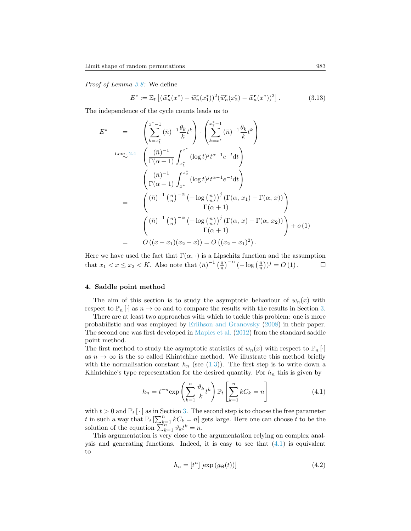*Proof of Lemma [3.8:](#page-11-2)* We define

$$
E^* := \mathbb{E}_t \left[ (\tilde{w}_n^{\mathbf{r}}(x^*) - \tilde{w}_n^{\mathbf{r}}(x_1^*))^2 (\tilde{w}_n^{\mathbf{r}}(x_2^*) - \tilde{w}_n^{\mathbf{r}}(x^*))^2 \right]. \tag{3.13}
$$

The independence of the cycle counts leads us to

$$
E^* = \begin{pmatrix} \sum_{k=x_1^*}^{x^*-1} (\bar{n})^{-1} \frac{\theta_k}{k} t^k \end{pmatrix} \cdot \begin{pmatrix} \sum_{k=x^*}^{x^*-1} (\bar{n})^{-1} \frac{\theta_k}{k} t^k \end{pmatrix}
$$
  
\n
$$
L_{em. 2.4} = \begin{pmatrix} \frac{(\bar{n})^{-1}}{\Gamma(\alpha+1)} \int_{x_1^*}^{x^*} (\log t)^j t^{\alpha-1} e^{-t} dt \end{pmatrix}
$$
  
\n
$$
= \begin{pmatrix} \frac{(\bar{n})^{-1}}{\Gamma(\alpha+1)} \int_{x^*}^{x_2^*} (\log t)^j t^{\alpha-1} e^{-t} dt \end{pmatrix}
$$
  
\n
$$
= \begin{pmatrix} \frac{(\bar{n})^{-1} (\frac{\bar{n}}{n})^{-\alpha} (-\log(\frac{\bar{n}}{n}))^j (\Gamma(\alpha, x_1) - \Gamma(\alpha, x))}{\Gamma(\alpha+1)} \end{pmatrix}
$$
  
\n
$$
= \begin{pmatrix} \frac{(\bar{n})^{-1} (\frac{\bar{n}}{n})^{-\alpha} (-\log(\frac{\bar{n}}{n}))^j (\Gamma(\alpha, x) - \Gamma(\alpha, x_2))}{\Gamma(\alpha+1)} \end{pmatrix} + o(1)
$$
  
\n
$$
= O((x - x_1)(x_2 - x)) = O((x_2 - x_1)^2).
$$

Here we have used the fact that  $\Gamma(\alpha, \cdot)$  is a Lipschitz function and the assumption that  $x_1 < x \le x_2 < K$ . Also note that  $(\bar{n})^{-1} \left(\frac{\bar{n}}{n}\right)^{-\alpha} (-\log(\frac{\bar{n}}{n}))^j = O(1)$ . □

# <span id="page-12-0"></span>**4. Saddle point method**

The aim of this section is to study the asymptotic behaviour of  $w_n(x)$  with respect to  $\mathbb{P}_n[\cdot]$  as  $n \to \infty$  and to compare the results with the results in Section [3.](#page-7-0)

There are at least two approaches with which to tackle this problem: one is more probabilistic and was employed by [Erlihson and Granovsky](#page-27-7) ([2008\)](#page-27-7) in their paper. The second one was first developed in [Maples et al.](#page-28-4) ([2012](#page-28-4)) from the standard saddle point method.

The first method to study the asymptotic statistics of  $w_n(x)$  with respect to  $\mathbb{P}_n[\cdot]$ as  $n \to \infty$  is the so called Khintchine method. We illustrate this method briefly withthe normalisation constant  $h_n$  (see  $(1.3)$  $(1.3)$ ). The first step is to write down a Khintchine's type representation for the desired quantity. For  $h_n$  this is given by

$$
h_n = t^{-n} \exp\left(\sum_{k=1}^n \frac{\vartheta_k}{k} t^k\right) \mathbb{P}_t \left[\sum_{k=1}^n k C_k = n\right]
$$
 (4.1)

with  $t > 0$  and  $\mathbb{P}_t[\cdot]$  as in Section [3.](#page-7-0) The second step is to choose the free parameter *t* in such a way that  $\mathbb{P}_t \left[ \sum_{k=1}^n kC_k = n \right]$  gets large. Here one can choose *t* to be the solution of the equation  $\sum_{k=1}^{n} \vartheta_k t^k = n$ .

This argumentation is very close to the argumentation relying on complex analysisand generating functions. Indeed, it is easy to see that  $(4.1)$  $(4.1)$  is equivalent to

<span id="page-12-2"></span><span id="page-12-1"></span>
$$
h_n = [t^n] \left[ \exp\left(g_\Theta(t)\right) \right] \tag{4.2}
$$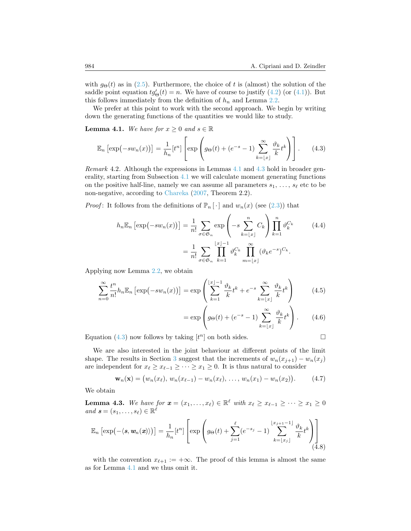with $g_{\Theta}(t)$  as in ([2.5\)](#page-5-1). Furthermore, the choice of t is (almost) the solution of the saddle point equation  $tg'_{\Theta}(t) = n$ . We have of course to justify [\(4.2\)](#page-12-2) (or [\(4.1](#page-12-1))). But this follows immediately from the definition of  $h_n$  and Lemma [2.2](#page-6-0).

We prefer at this point to work with the second approach. We begin by writing down the generating functions of the quantities we would like to study.

<span id="page-13-0"></span>**Lemma 4.1.** *We have for*  $x \geq 0$  *and*  $s \in \mathbb{R}$ 

$$
\mathbb{E}_n\left[\exp\left(-sw_n(x)\right)\right] = \frac{1}{h_n}[t^n] \left[\exp\left(g_\Theta(t) + (e^{-s} - 1)\sum_{k=\lfloor x\rfloor}^{\infty} \frac{\vartheta_k}{k} t^k\right)\right].\tag{4.3}
$$

*Remark* 4.2*.* Although the expressions in Lemmas [4.1](#page-13-0) and [4.3](#page-13-1) hold in broader generality, starting from Subsection [4.1](#page-14-0) we will calculate moment generating functions on the positive half-line, namely we can assume all parameters  $s_1, \ldots, s_\ell$  etc to be non-negative, according to [Chareka](#page-27-16) [\(2007,](#page-27-16) Theorem 2.2).

*Proof*: It follows from the definitions of  $\mathbb{P}_n[\cdot]$  and  $w_n(x)$  (see [\(2.3\)](#page-5-2)) that

$$
h_n \mathbb{E}_n \left[ \exp\left(-sw_n(x)\right) \right] = \frac{1}{n!} \sum_{\sigma \in \mathfrak{S}_n} \exp\left(-s \sum_{k=\lfloor x \rfloor}^n C_k\right) \prod_{k=1}^n \vartheta_k^{C_k} \qquad (4.4)
$$

$$
= \frac{1}{n!} \sum_{\sigma \in \mathfrak{S}_n} \prod_{k=1}^{\lfloor x \rfloor - 1} \vartheta_k^{C_k} \prod_{m=\lfloor x \rfloor}^{\infty} (\vartheta_k e^{-s})^{C_k}.
$$

Applying now Lemma [2.2,](#page-6-0) we obtain

$$
\sum_{n=0}^{\infty} \frac{t^n}{n!} h_n \mathbb{E}_n \left[ \exp\left(-s w_n(x)\right) \right] = \exp\left(\sum_{k=1}^{\lfloor x \rfloor - 1} \frac{\vartheta_k}{k} t^k + e^{-s} \sum_{k=\lfloor x \rfloor}^{\infty} \frac{\vartheta_k}{k} t^k \right) \tag{4.5}
$$

$$
= \exp\left(g_{\Theta}(t) + (e^{-s} - 1)\sum_{k=\lfloor x\rfloor}^{\infty} \frac{\vartheta_k}{k} t^k\right). \tag{4.6}
$$

Equation([4.3](#page-13-2)) now follows by taking  $[t^n]$  on both sides.

<span id="page-13-4"></span><span id="page-13-2"></span>
$$
\mathcal{L}^{\mathcal{L}}_{\mathcal{L}}
$$

We are also interested in the joint behaviour at different points of the limit shape. The results in Section [3](#page-7-0) suggest that the increments of  $w_n(x_{j+1}) - w_n(x_j)$ are independent for  $x_{\ell} \geq x_{\ell-1} \geq \cdots \geq x_1 \geq 0$ . It is thus natural to consider

<span id="page-13-3"></span>
$$
\mathbf{w}_n(\mathbf{x}) = (w_n(x_\ell), w_n(x_{\ell-1}) - w_n(x_\ell), \dots, w_n(x_1) - w_n(x_2)). \tag{4.7}
$$

We obtain

<span id="page-13-1"></span>**Lemma 4.3.** We have for  $\mathbf{x} = (x_1, \ldots, x_\ell) \in \mathbb{R}^\ell$  with  $x_\ell \geq x_{\ell-1} \geq \cdots \geq x_1 \geq 0$  $and$   $\mathbf{s} = (s_1, \ldots, s_\ell) \in \mathbb{R}^\ell$ 

$$
\mathbb{E}_n\left[\exp\left(-\langle \mathbf{s}, \mathbf{w}_n(\mathbf{x})\rangle\right)\right] = \frac{1}{h_n}[t^n] \left[\exp\left(g_\Theta(t) + \sum_{j=1}^\ell (e^{-s_j} - 1) \sum_{k=\lfloor x_j\rfloor}^{\lfloor x_{j+1}-1\rfloor} \frac{\vartheta_k}{k} t^k\right)\right]
$$
(4.8)

with the convention  $x_{\ell+1} := +\infty$ . The proof of this lemma is almost the same as for Lemma [4.1](#page-13-0) and we thus omit it.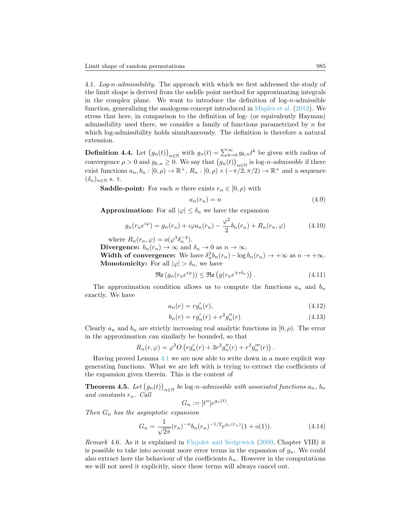<span id="page-14-0"></span>4.1. *Log-n-admissibility.* The approach with which we first addressed the study of the limit shape is derived from the saddle point method for approximating integrals in the complex plane. We want to introduce the definition of log-*n*-admissible function, generalizing the analogous concept introduced in [Maples et al.](#page-28-4) ([2012\)](#page-28-4). We stress that here, in comparison to the definition of log- (or equivalently Hayman) admissibility used there, we consider a family of functions parametrized by *n* for which log-admissibility holds simultaneously. The definition is therefore a natural extension.

<span id="page-14-3"></span>**Definition 4.4.** Let  $(g_n(t))_{n \in \mathbb{N}}$  with  $g_n(t) = \sum_{k=0}^{\infty} g_{k,n} t^k$  be given with radius of convergence  $\rho > 0$  and  $g_{k,n} \geq 0$ . We say that  $(g_n(t))_{n \in \mathbb{N}}$  is log-*n*-admissible if there exist functions  $a_n, b_n : [0, \rho) \to \mathbb{R}^+, R_n : [0, \rho) \times (-\pi/2, \pi/2) \to \mathbb{R}^+$  and a sequence  $(\delta_n)_{n \in \mathbb{N}}$  s. t.

**Saddle-point:** For each *n* there exists  $r_n \in [0, \rho)$  with

<span id="page-14-6"></span><span id="page-14-2"></span>
$$
a_n(r_n) = n \tag{4.9}
$$

**Approximation:** For all  $|\varphi| \leq \delta_n$  we have the expansion

$$
g_n(r_n e^{i\varphi}) = g_n(r_n) + i\varphi a_n(r_n) - \frac{\varphi^2}{2} b_n(r_n) + R_n(r_n, \varphi)
$$
 (4.10)

where  $R_n(r_n, \varphi) = o(\varphi^3 \delta_n^{-3}).$ 

**Divergence:**  $b_n(r_n) \to \infty$  and  $\delta_n \to 0$  as  $n \to \infty$ .

**Width of convergence:** We have  $\delta_n^2 b_n(r_n) - \log b_n(r_n) \to +\infty$  as  $n \to +\infty$ . **Monotonicity:** For all  $|\varphi| > \delta_n$ , we have

$$
\Re\mathfrak{e}\left(g_n(r_n e^{i\varphi})\right) \leq \Re\mathfrak{e}\left(g(r_n e^{\pm i\delta_n})\right). \tag{4.11}
$$

The approximation condition allows us to compute the functions  $a_n$  and  $b_n$ exactly. We have

<span id="page-14-5"></span>
$$
a_n(r) = rg'_n(r),\tag{4.12}
$$

<span id="page-14-4"></span>
$$
b_n(r) = rg'_n(r) + r^2g''_n(r).
$$
\n(4.13)

Clearly  $a_n$  and  $b_n$  are strictly increasing real analytic functions in  $[0, \rho)$ . The error in the approximation can similarly be bounded, so that

$$
R_n(r,\varphi) = \varphi^3 O\left( r g_n'(r) + 3r^2 g_n''(r) + r^3 g_n'''(r) \right).
$$

Having proved Lemma [4.1](#page-13-0) we are now able to write down in a more explicit way generating functions. What we are left with is trying to extract the coefficients of the expansion given therein. This is the content of

<span id="page-14-1"></span>**Theorem 4.5.** *Let*  $(g_n(t))_{n \in \mathbb{N}}$  *be* log-*n*-admissible with associated functions  $a_n$ ,  $b_n$ *and constants rn. Call*

$$
G_n := [t^n]e^{g_n(t)}.
$$

*Then G<sup>n</sup> has the asymptotic expansion*

$$
G_n = \frac{1}{\sqrt{2\pi}} (r_n)^{-n} b_n(r_n)^{-1/2} e^{g_n(r_n)} (1 + o(1)). \tag{4.14}
$$

*Remark* 4.6*.* As it is explained in [Flajolet and Sedgewick](#page-27-9) ([2009,](#page-27-9) Chapter VIII) it is possible to take into account more error terms in the expansion of  $g_n$ . We could also extract here the behaviour of the coefficients  $h_n$ . However in the computations we will not need it explicitly, since these terms will always cancel out.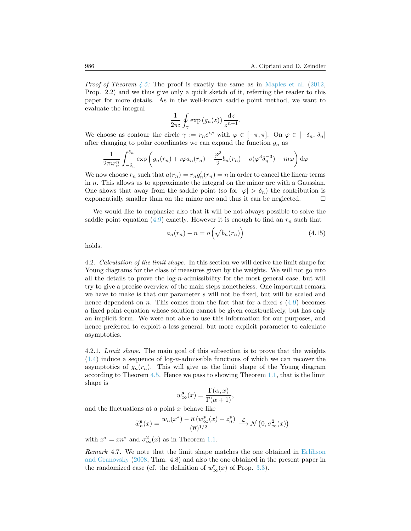*Proof of Theorem [4.5:](#page-14-1)* The proof is exactly the same as in [Maples et al.](#page-28-4) ([2012,](#page-28-4) Prop. 2.2) and we thus give only a quick sketch of it, referring the reader to this paper for more details. As in the well-known saddle point method, we want to evaluate the integral

$$
\frac{1}{2\pi i} \oint_{\gamma} \exp\left(g_n(z)\right) \frac{\mathrm{d}z}{z^{n+1}}.
$$

We choose as contour the circle  $\gamma := r_n e^{i\varphi}$  with  $\varphi \in [-\pi, \pi]$ . On  $\varphi \in [-\delta_n, \delta_n]$ after changing to polar coordinates we can expand the function  $g_n$  as

$$
\frac{1}{2\pi i r_n^n} \int_{-\delta_n}^{\delta_n} \exp\left(g_n(r_n) + i\varphi a_n(r_n) - \frac{\varphi^2}{2}b_n(r_n) + o(\varphi^3 \delta_n^{-3}) - i n \varphi\right) d\varphi
$$

We now choose  $r_n$  such that  $a(r_n) = r_n g'_n(r_n) = n$  in order to cancel the linear terms in *n*. This allows us to approximate the integral on the minor arc with a Gaussian. One shows that away from the saddle point (so for  $|\varphi| > \delta_n$ ) the contribution is exponentially smaller than on the minor arc and thus it can be neglected.  $\Box$ 

We would like to emphasize also that it will be not always possible to solve the saddlepoint equation  $(4.9)$  $(4.9)$  $(4.9)$  exactly. However it is enough to find an  $r<sub>n</sub>$  such that

<span id="page-15-1"></span>
$$
a_n(r_n) - n = o\left(\sqrt{b_n(r_n)}\right) \tag{4.15}
$$

holds.

<span id="page-15-0"></span>4.2. *Calculation of the limit shape.* In this section we will derive the limit shape for Young diagrams for the class of measures given by the weights. We will not go into all the details to prove the log-*n*-admissibility for the most general case, but will try to give a precise overview of the main steps nonetheless. One important remark we have to make is that our parameter *s* will not be fixed, but will be scaled and hence dependent on *n*. This comes from the fact that for a fixed *s* ([4.9](#page-14-2)) becomes a fixed point equation whose solution cannot be given constructively, but has only an implicit form. We were not able to use this information for our purposes, and hence preferred to exploit a less general, but more explicit parameter to calculate asymptotics.

4.2.1. *Limit shape.* The main goal of this subsection is to prove that the weights ([1.4](#page-2-1)) induce a sequence of log-*n*-admissible functions of which we can recover the asymptotics of  $g_n(r_n)$ . This will give us the limit shape of the Young diagram according to Theorem [4.5](#page-14-1). Hence we pass to showing Theorem [1.1,](#page-2-2) that is the limit shape is

$$
w_{\infty}^{\mathbf{s}}(x) = \frac{\Gamma(\alpha, x)}{\Gamma(\alpha + 1)},
$$

and the fluctuations at a point *x* behave like

$$
\widetilde{w}_n^{\mathbf s}(x)=\frac{w_n(x^*)-\overline{n}\left(w^\mathbf s_\infty(x)+z_n^\mathbf s\right)}{(\overline{n})^{1/2}}\stackrel{\mathcal L}{\longrightarrow} \mathcal N\left(0,\sigma^2_\infty(x)\right)
$$

with  $x^* = xn^*$  and  $\sigma_{\infty}^2(x)$  as in Theorem [1.1](#page-2-2).

*Remark* 4.7*.* We note that the limit shape matches the one obtained in [Erlihson](#page-27-7) [and Granovsky](#page-27-7) [\(2008](#page-27-7), Thm. 4.8) and also the one obtained in the present paper in the randomized case (cf. the definition of  $w_{\infty}^{\mathbf{r}}(x)$  of Prop. [3.3\)](#page-9-2).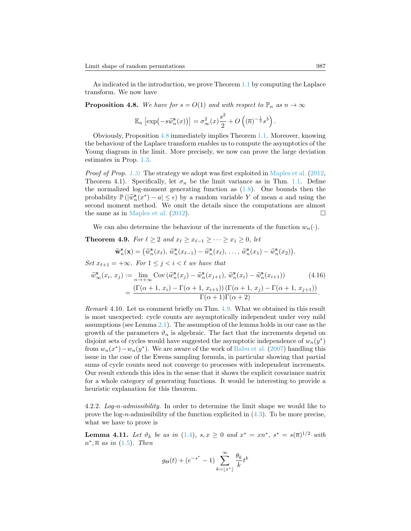As indicated in the introduction, we prove Theorem [1.1](#page-2-2) by computing the Laplace transform. We now have

<span id="page-16-0"></span>**Proposition 4.8.** *We have for*  $s = O(1)$  *and with respect to*  $\mathbb{P}_n$  *as*  $n \to \infty$ 

$$
\mathbb{E}_n\left[\exp\left(-s\widetilde{w}_n^{\mathbf{s}}(x)\right)\right] = \sigma_\infty^2(x)\frac{s^2}{2} + O\left((\overline{n})^{-\frac{1}{2}}s^3\right).
$$

Obviously, Proposition [4.8](#page-16-0) immediately implies Theorem [1.1.](#page-2-2) Moreover, knowing the behaviour of the Laplace transform enables us to compute the asymptotics of the Young diagram in the limit. More precisely, we now can prove the large deviation estimates in Prop. [1.3](#page-3-0).

*Proof of Prop.* [1.3:](#page-3-0) The strategy we adopt was first exploited in [Maples et al.](#page-28-4) ([2012,](#page-28-4) Theorem 4.1). Specifically, let  $\sigma_n$  be the limit variance as in Thm. [1.1](#page-2-2). Define the normalized log-moment generating function as  $(1.8)$ . One bounds then the probability  $\mathbb{P}(|\widetilde{w}_n^{\mathbf{s}}(x^*) - a| \leq \epsilon)$  by a random variable *Y* of mean *a* and using the second moment method. We omit the details since the computations are almost second moment method. We omit the details since the computations are almost the same as in [Maples et al.](#page-28-4)  $(2012)$  $(2012)$ .

We can also determine the behaviour of the increments of the function  $w_n(\cdot)$ .

<span id="page-16-1"></span>**Theorem 4.9.** *For*  $\ell \geq 2$  *and*  $x_{\ell} \geq x_{\ell-1} \geq \cdots \geq x_1 \geq 0$ *, let* 

$$
\widetilde{\mathbf{w}}_n^{\mathbf{s}}(\mathbf{x}) = (\widetilde{w}_n^{\mathbf{s}}(x_\ell), \widetilde{w}_n^{\mathbf{s}}(x_{\ell-1}) - \widetilde{w}_n^{\mathbf{s}}(x_\ell), \ldots, \widetilde{w}_n^{\mathbf{s}}(x_1) - \widetilde{w}_n^{\mathbf{s}}(x_2)).
$$

*Set*  $x_{\ell+1} = +\infty$ *. For*  $1 \leq j < i < \ell$  *we have that* 

$$
\widetilde{w}_{\infty}^{\mathbf{s}}(x_i, x_j) := \lim_{n \to +\infty} \text{Cov} \left( \widetilde{w}_n^{\mathbf{s}}(x_j) - \widetilde{w}_n^{\mathbf{s}}(x_{j+1}), \widetilde{w}_n^{\mathbf{s}}(x_i) - \widetilde{w}_n^{\mathbf{s}}(x_{i+1}) \right) \tag{4.16}
$$
\n
$$
= \frac{\left( \Gamma(\alpha+1, x_i) - \Gamma(\alpha+1, x_{i+1}) \right) \left( \Gamma(\alpha+1, x_j) - \Gamma(\alpha+1, x_{j+1}) \right)}{\Gamma(\alpha+1)\Gamma(\alpha+2)}.
$$

*Remark* 4.10*.* Let us comment briefly on Thm. [4.9.](#page-16-1) What we obtained in this result is most unexpected: cycle counts are asymptotically independent under very mild assumptions (see Lemma [2.1](#page-5-3)). The assumption of the lemma holds in our case as the growth of the parameters  $\vartheta_n$  is algebraic. The fact that the increments depend on disjoint sets of cycles would have suggested the asymptotic independence of  $w_n(y^*)$ from  $w_n(x^*) - w_n(y^*)$ . We are aware of the work of [Babu et al.](#page-27-17) [\(2007](#page-27-17)) handling this issue in the case of the Ewens sampling formula, in particular showing that partial sums of cycle counts need not converge to processes with independent increments. Our result extends this idea in the sense that it shows the explicit covariance matrix for a whole category of generating functions. It would be interesting to provide a heuristic explanation for this theorem.

4.2.2. *Log-n-admissibility.* In order to determine the limit shape we would like to prove the log-*n*-admissibility of the function explicited in([4.3\)](#page-13-2). To be more precise, what we have to prove is

<span id="page-16-2"></span>**Lemma 4.11.** Let  $\vartheta_k$  be as in ([1.4](#page-2-1)),  $s, x \ge 0$  and  $x^* = xn^*$ ,  $s^* = s(\overline{n})^{1/2}$  with  $n^*, \overline{n}$  *as in* ([1.5\)](#page-2-3)*. Then* 

$$
g_{\Theta}(t) + (e^{-s^*} - 1) \sum_{k=\lfloor x^* \rfloor}^{\infty} \frac{\theta_k}{k} t^k
$$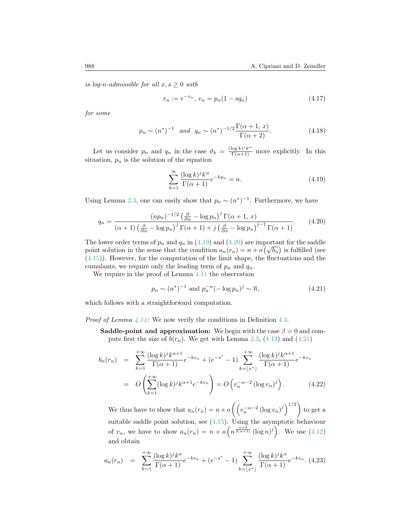*is log-n-admissible for all*  $x, s \geq 0$  *with* 

<span id="page-17-4"></span>
$$
r_n := e^{-v_n}, \ v_n = p_n(1 - sq_n) \tag{4.17}
$$

*for some*

$$
p_n \sim (n^*)^{-1}
$$
 and  $q_n \sim (n^*)^{-1/2} \frac{\Gamma(\alpha+1, x)}{\Gamma(\alpha+2)}$ . (4.18)

Let us consider  $p_n$  and  $q_n$  in the case  $\vartheta_k = \frac{(\log k)^j k^{\alpha}}{\Gamma(\alpha+1)}$  more explicitly. In this situation,  $p_n$  is the solution of the equation

<span id="page-17-1"></span><span id="page-17-0"></span>
$$
\sum_{k=1}^{\infty} \frac{(\log k)^j k^{\alpha}}{\Gamma(\alpha+1)} e^{-kp_n} = n.
$$
\n(4.19)

Using Lemma [2.3,](#page-6-1) one can easily show that  $p_n \sim (n^*)^{-1}$ . Furthermore, we have

$$
q_n = \frac{(np_n)^{-1/2} \left(\frac{\partial}{\partial \alpha} - \log p_n\right)^j \Gamma(\alpha + 1, x)}{\left(\alpha + 1\right) \left(\frac{\partial}{\partial \alpha} - \log p_n\right)^j \Gamma(\alpha + 1) + j \left(\frac{\partial}{\partial \alpha} - \log p_n\right)^{j-1} \Gamma(\alpha + 1)}.
$$
(4.20)

Thelower order terms of  $p_n$  and  $q_n$  in ([4.19\)](#page-17-0) and ([4.20](#page-17-1)) are important for the saddle point solution in the sense that the condition  $a_n(r_n) = n + o(\sqrt{b_n})$  is fulfilled (see ([4.15](#page-15-1))). However, for the computation of the limit shape, the fluctuations and the cumulants, we require only the leading term of  $p_n$  and  $q_n$ .

We require in the proof of Lemma [4.11](#page-16-2) the observation

<span id="page-17-2"></span>
$$
p_n \sim (n^*)^{-1} \text{ and } p_n^{-\alpha} (-\log p_n)^j \sim \overline{n},\tag{4.21}
$$

which follows with a straightforward computation.

*Proof of Lemma [4.11:](#page-16-2)* We now verify the conditions in Definition [4.4.](#page-14-3)

**Saddle-point and approximation:** We begin with the case  $\beta = 0$  and computefirst the size of  $b(r_n)$ . We get with Lemma [2.3,](#page-6-1) ([4.13\)](#page-14-4) and ([4.21\)](#page-17-2)

<span id="page-17-3"></span>
$$
b_n(r_n) = \sum_{k=1}^{+\infty} \frac{(\log k)^j k^{\alpha+1}}{\Gamma(\alpha+1)} e^{-kv_n} + (e^{-s^*} - 1) \sum_{k=\lfloor x^* \rfloor}^{+\infty} \frac{(\log k)^j k^{\alpha+1}}{\Gamma(\alpha+1)} e^{-kv_n}
$$
  
=  $O\left(\sum_{k=1}^{+\infty} (\log k)^j k^{\alpha+1} e^{-kv_n}\right) = O\left(v_n^{-\alpha-2} (\log v_n)^j\right).$  (4.22)

We thus have to show that  $a_n(r_n) = n + o\left(\left(v_n^{-\alpha-2} (\log v_n)^j\right)^{1/2}\right)$  to get a suitable saddle point solution, see  $(4.15)$ . Using the asymptotic behaviour of $v_n$ , we have to show  $a_n(r_n) = n + o\left(n^{\frac{\alpha+2}{2(\alpha+1)}}(\log n)^j\right)$ . We use ([4.12](#page-14-5)) and obtain

$$
a_n(r_n) = \sum_{k=1}^{+\infty} \frac{(\log k)^j k^{\alpha}}{\Gamma(\alpha+1)} e^{-kv_n} + (e^{-s^*} - 1) \sum_{k=\lfloor x^* \rfloor}^{+\infty} \frac{(\log k)^j k^{\alpha}}{\Gamma(\alpha+1)} e^{-kv_n}.
$$
 (4.23)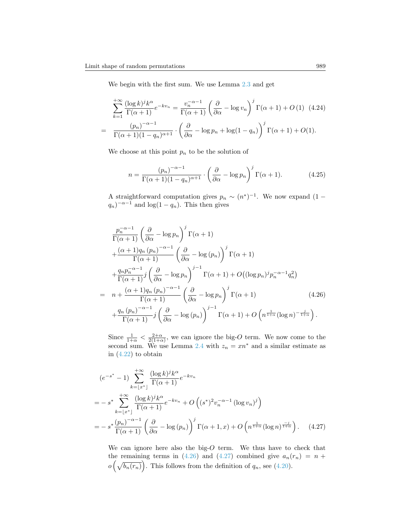We begin with the first sum. We use Lemma [2.3](#page-6-1) and get

$$
\sum_{k=1}^{+\infty} \frac{(\log k)^j k^{\alpha}}{\Gamma(\alpha+1)} e^{-kv_n} = \frac{v_n^{-\alpha-1}}{\Gamma(\alpha+1)} \left(\frac{\partial}{\partial \alpha} - \log v_n\right)^j \Gamma(\alpha+1) + O(1) \quad (4.24)
$$

$$
= \frac{(p_n)^{-\alpha-1}}{\Gamma(\alpha+1)(1-q_n)^{\alpha+1}} \cdot \left(\frac{\partial}{\partial \alpha} - \log p_n + \log(1-q_n)\right)^j \Gamma(\alpha+1) + O(1).
$$

We choose at this point  $p_n$  to be the solution of

$$
n = \frac{(p_n)^{-\alpha - 1}}{\Gamma(\alpha + 1)(1 - q_n)^{\alpha + 1}} \cdot \left(\frac{\partial}{\partial \alpha} - \log p_n\right)^j \Gamma(\alpha + 1).
$$
 (4.25)

A straightforward computation gives  $p_n \sim (n^*)^{-1}$ . We now expand  $(1 (q_n)^{-\alpha-1}$  and log(1 *− q<sub>n</sub>*). This then gives

<span id="page-18-0"></span>
$$
\frac{p_n^{-\alpha-1}}{\Gamma(\alpha+1)} \left(\frac{\partial}{\partial \alpha} - \log p_n\right)^j \Gamma(\alpha+1) \n+ \frac{(\alpha+1)q_n (p_n)^{-\alpha-1}}{\Gamma(\alpha+1)} \left(\frac{\partial}{\partial \alpha} - \log (p_n)\right)^j \Gamma(\alpha+1) \n+ \frac{q_n p_n^{-\alpha-1}}{\Gamma(\alpha+1)} j \left(\frac{\partial}{\partial \alpha} - \log p_n\right)^{j-1} \Gamma(\alpha+1) + O\left((\log p_n)^j p_n^{-\alpha-1} q_n^2\right) \n= n + \frac{(\alpha+1)q_n (p_n)^{-\alpha-1}}{\Gamma(\alpha+1)} \left(\frac{\partial}{\partial \alpha} - \log p_n\right)^j \Gamma(\alpha+1) \qquad (4.26) \n+ \frac{q_n (p_n)^{-\alpha-1}}{\Gamma(\alpha+1)} j \left(\frac{\partial}{\partial \alpha} - \log (p_n)\right)^{j-1} \Gamma(\alpha+1) + O\left(n^{\frac{1}{1+\alpha}} (\log n)^{-\frac{j}{1+\alpha}}\right).
$$

Since  $\frac{1}{1+\alpha} < \frac{2+\alpha}{2(1+\alpha)}$ , we can ignore the big-*O* term. We now come to the second sum. We use Lemma [2.4](#page-6-2) with  $z_n = xn^*$  and a similar estimate as in $(4.22)$  $(4.22)$  to obtain

$$
(e^{-s^*} - 1) \sum_{k=\lfloor x^* \rfloor}^{+\infty} \frac{(\log k)^j k^{\alpha}}{\Gamma(\alpha+1)} e^{-kv_n}
$$
  
=  $-s^* \sum_{k=\lfloor x^* \rfloor}^{+\infty} \frac{(\log k)^j k^{\alpha}}{\Gamma(\alpha+1)} e^{-kv_n} + O\left((s^*)^2 v_n^{-\alpha-1} (\log v_n)^j\right)$   
=  $-s^* \frac{(p_n)^{-\alpha-1}}{\Gamma(\alpha+1)} \left(\frac{\partial}{\partial \alpha} - \log (p_n)\right)^j \Gamma(\alpha+1, x) + O\left(n^{\frac{1}{1+\alpha}} (\log n)^{\frac{-j}{1+\alpha}}\right).$  (4.27)

<span id="page-18-1"></span>We can ignore here also the big-*O* term. We thus have to check that theremaining terms in ([4.26\)](#page-18-0) and [\(4.27\)](#page-18-1) combined give  $a_n(r_n) = n +$  $o\left(\sqrt{b_n(r_n)}\right)$ .This follows from the definition of  $q_n$ , see ([4.20\)](#page-17-1).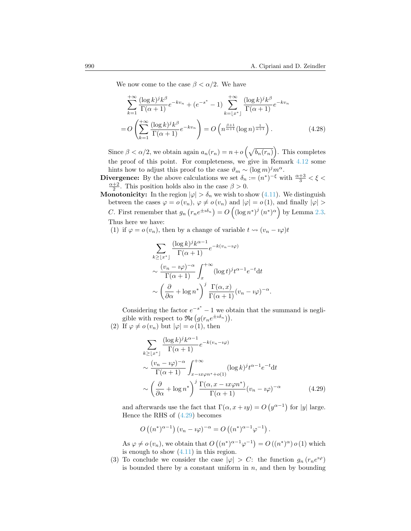We now come to the case  $\beta < \alpha/2$ . We have

$$
\sum_{k=1}^{+\infty} \frac{(\log k)^j k^{\beta}}{\Gamma(\alpha+1)} e^{-kv_n} + (e^{-s^*} - 1) \sum_{k=\lfloor x^* \rfloor}^{+\infty} \frac{(\log k)^j k^{\beta}}{\Gamma(\alpha+1)} e^{-kv_n}
$$
  
=  $O\left(\sum_{k=1}^{+\infty} \frac{(\log k)^j k^{\beta}}{\Gamma(\alpha+1)} e^{-kv_n}\right) = O\left(n^{\frac{\beta+1}{\alpha+1}} (\log n)^{\frac{1}{\alpha+1}}\right).$  (4.28)

Since  $\beta < \alpha/2$ , we obtain again  $a_n(r_n) = n + o\left(\sqrt{b_n(r_n)}\right)$ . This completes the proof of this point. For completeness, we give in Remark [4.12](#page-20-0) some hints how to adjust this proof to the case  $\vartheta_m \sim (\log m)^j m^{\alpha}$ .

**Divergence:** By the above calculations we set  $\delta_n := (n^*)^{-\xi}$  with  $\frac{\alpha+3}{3} < \xi <$  $\frac{\alpha+2}{2}$ . This position holds also in the case  $\beta > 0$ .

**Monotonicity:** In the region  $|\varphi| > \delta_n$  we wish to show [\(4.11](#page-14-6)). We distinguish between the cases  $\varphi = o(v_n)$ ,  $\varphi \neq o(v_n)$  and  $|\varphi| = o(1)$ , and finally  $|\varphi| >$ *C*. First remember that  $g_n(r_n e^{\pm i\delta_n}) = O((\log n^*)^j (n^*)^{\alpha})$  by Lemma [2.3.](#page-6-1) Thus here we have:

(1) if  $\varphi = o(v_n)$ , then by a change of variable  $t \leadsto (v_n - i\varphi)t$ 

$$
\sum_{k\geq \lfloor x^*\rfloor} \frac{(\log k)^j k^{\alpha-1}}{\Gamma(\alpha+1)} e^{-k(v_n - i\varphi)}
$$

$$
\sim \frac{(v_n - i\varphi)^{-\alpha}}{\Gamma(\alpha+1)} \int_x^{+\infty} (\log t)^j t^{\alpha-1} e^{-t} dt
$$

$$
\sim \left(\frac{\partial}{\partial \alpha} + \log n^*\right)^j \frac{\Gamma(\alpha, x)}{\Gamma(\alpha+1)} (v_n - i\varphi)^{-\alpha}.
$$

Considering the factor  $e^{-s^*} - 1$  we obtain that the summand is negligible with respect to  $\Re\left(g(r_n e^{\pm i\delta_n})\right)$ .

(2) If  $\varphi \neq o(v_n)$  but  $|\varphi| = o(1)$ , then

<span id="page-19-0"></span>
$$
\sum_{k \geq \lfloor x^* \rfloor} \frac{(\log k)^j k^{\alpha - 1}}{\Gamma(\alpha + 1)} e^{-k(v_n - i\varphi)}
$$
\n
$$
\sim \frac{(v_n - i\varphi)^{-\alpha}}{\Gamma(\alpha + 1)} \int_{x - ix\varphi n^* + o(1)}^{+\infty} (\log k)^j t^{\alpha - 1} e^{-t} dt
$$
\n
$$
\sim \left(\frac{\partial}{\partial \alpha} + \log n^*\right)^j \frac{\Gamma(\alpha, x - ix\varphi n^*)}{\Gamma(\alpha + 1)} (v_n - i\varphi)^{-\alpha} \tag{4.29}
$$

and afterwards use the fact that  $\Gamma(\alpha, x + iy) = O(y^{\alpha-1})$  for  $|y|$  large. Hence the RHS of([4.29](#page-19-0)) becomes

$$
O\left((n^*)^{\alpha-1}\right)(v_n - \iota\varphi)^{-\alpha} = O\left((n^*)^{\alpha-1}\varphi^{-1}\right).
$$

As  $\varphi \neq o(v_n)$ , we obtain that  $O((n^*)^{\alpha-1}\varphi^{-1}) = O((n^*)^{\alpha}) o(1)$  which isenough to show  $(4.11)$  $(4.11)$  $(4.11)$  in this region.

(3) To conclude we consider the case  $|\varphi| > C$ : the function  $g_n(r_n e^{i\varphi})$ is bounded there by a constant uniform in *n*, and then by bounding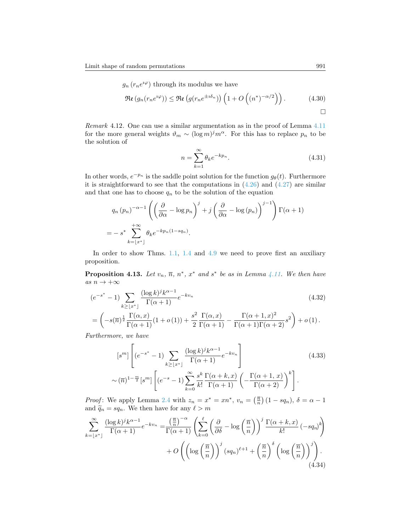$g_n(r_n e^{i\varphi})$  through its modulus we have

$$
\Re\mathfrak{e}\left(g_n(r_n e^{i\varphi})\right) \leq \Re\mathfrak{e}\left(g(r_n e^{\pm i\delta_n})\right)\left(1 + O\left((n^*)^{-\alpha/2}\right)\right). \tag{4.30}
$$

<span id="page-20-0"></span>*Remark* 4.12*.* One can use a similar argumentation as in the proof of Lemma [4.11](#page-16-2) for the more general weights  $\vartheta_m \sim (\log m)^j m^{\alpha}$ . For this has to replace  $p_n$  to be the solution of

<span id="page-20-3"></span>
$$
n = \sum_{k=1}^{\infty} \theta_k e^{-kp_n}.
$$
\n(4.31)

In other words,  $e^{-p_n}$  is the saddle point solution for the function  $g_{\theta}(t)$ . Furthermore itis straightforward to see that the computations in  $(4.26)$  $(4.26)$  $(4.26)$  and  $(4.27)$  $(4.27)$  $(4.27)$  are similar and that one has to choose  $q_n$  to be the solution of the equation

$$
q_n (p_n)^{-\alpha - 1} \left( \left( \frac{\partial}{\partial \alpha} - \log p_n \right)^j + j \left( \frac{\partial}{\partial \alpha} - \log (p_n) \right)^{j-1} \right) \Gamma(\alpha + 1)
$$
  
=  $- s^* \sum_{k= \lfloor x^* \rfloor}^{+\infty} \theta_k e^{-k p_n (1 - s q_n)}.$ 

In order to show Thms. [1.1](#page-2-2), [1.4](#page-4-1) and [4.9](#page-16-1) we need to prove first an auxiliary proposition.

<span id="page-20-4"></span>**Proposition 4.13.** Let  $v_n$ ,  $\overline{n}$ ,  $n^*$ ,  $x^*$  and  $s^*$  be as in Lemma [4.11](#page-16-2). We then have *as n →* +*∞*

$$
(e^{-s^*} - 1) \sum_{k \geq \lfloor x^* \rfloor} \frac{(\log k)^j k^{\alpha - 1}}{\Gamma(\alpha + 1)} e^{-kv_n}
$$
\n
$$
= \left( -s(\overline{n})^{\frac{1}{2}} \frac{\Gamma(\alpha, x)}{\Gamma(\alpha + 1)} (1 + o(1)) + \frac{s^2}{2} \frac{\Gamma(\alpha, x)}{\Gamma(\alpha + 1)} - \frac{\Gamma(\alpha + 1, x)^2}{\Gamma(\alpha + 1)\Gamma(\alpha + 2)} s^2 \right) + o(1).
$$
\n(4.32)

*Furthermore, we have*

<span id="page-20-2"></span><span id="page-20-1"></span>
$$
\begin{aligned}\n\left[s^m\right] \left[ (e^{-s^*} - 1) \sum_{k \geq \lfloor x^* \rfloor} \frac{(\log k)^j k^{\alpha - 1}}{\Gamma(\alpha + 1)} e^{-kv_n} \right] \\
&\sim (\overline{n})^{1 - \frac{m}{2}} \left[s^m\right] \left[ (e^{-s} - 1) \sum_{k=0}^{\infty} \frac{s^k}{k!} \frac{\Gamma(\alpha + k, x)}{\Gamma(\alpha + 1)} \left( -\frac{\Gamma(\alpha + 1, x)}{\Gamma(\alpha + 2)} \right)^k \right].\n\end{aligned} \tag{4.33}
$$

*Proof*: We apply Lemma [2.4](#page-6-2) with  $z_n = x^* = xn^*$ ,  $v_n = \left(\frac{\overline{n}}{n}\right)(1 - sq_n)$ ,  $\delta = \alpha - 1$ and  $\widetilde{q}_n = sq_n$ . We then have for any  $\ell > m$ 

$$
\sum_{k=\lfloor x^* \rfloor}^{\infty} \frac{(\log k)^j k^{\alpha-1}}{\Gamma(\alpha+1)} e^{-kv_n} = \frac{\left(\frac{\overline{n}}{n}\right)^{-\alpha}}{\Gamma(\alpha+1)} \left( \sum_{k=0}^{\ell} \left( \frac{\partial}{\partial \delta} - \log \left( \frac{\overline{n}}{n} \right) \right)^j \frac{\Gamma(\alpha+k, x)}{k!} \left( -sq_n \right)^k \right) + O\left( \left( \log \left( \frac{\overline{n}}{n} \right) \right)^j (sq_n)^{\ell+1} + \left( \frac{\overline{n}}{n} \right)^{\delta} \left( \log \left( \frac{\overline{n}}{n} \right) \right)^j \right). \tag{4.34}
$$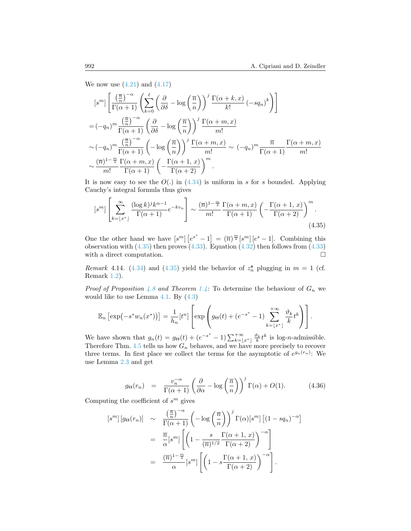Wenow use  $(4.21)$  $(4.21)$  $(4.21)$  and  $(4.17)$  $(4.17)$ 

$$
\begin{split}\n\left[s^{m}\right] \left[\frac{\left(\frac{\overline{n}}{n}\right)^{-\alpha}}{\Gamma(\alpha+1)} \left(\sum_{k=0}^{\ell} \left(\frac{\partial}{\partial \delta} - \log\left(\frac{\overline{n}}{n}\right)\right)^{j} \frac{\Gamma(\alpha+k,x)}{k!} \left(-sq_{n}\right)^{k}\right)\right] \\
&= (-q_{n})^{m} \frac{\left(\frac{\overline{n}}{n}\right)^{-\alpha}}{\Gamma(\alpha+1)} \left(\frac{\partial}{\partial \delta} - \log\left(\frac{\overline{n}}{n}\right)\right)^{j} \frac{\Gamma(\alpha+m,x)}{m!} \\
&\sim (-q_{n})^{m} \frac{\left(\frac{\overline{n}}{n}\right)^{-\alpha}}{\Gamma(\alpha+1)} \left(-\log\left(\frac{\overline{n}}{n}\right)\right)^{j} \frac{\Gamma(\alpha+m,x)}{m!} \sim (-q_{n})^{m} \frac{\overline{n}}{\Gamma(\alpha+1)} \frac{\Gamma(\alpha+m,x)}{m!} \\
&\sim \frac{\left(\overline{n}\right)^{1-\frac{m}{2}}}{m!} \frac{\Gamma(\alpha+m,x)}{\Gamma(\alpha+1)} \left(-\frac{\Gamma(\alpha+1,x)}{\Gamma(\alpha+2)}\right)^{m}.\n\end{split}
$$

Itis now easy to see the  $O(.)$  in  $(4.34)$  $(4.34)$  is uniform in *s* for *s* bounded. Applying Cauchy's integral formula thus gives

<span id="page-21-0"></span> $\overline{1}$ 

$$
[s^m] \left[ \sum_{k=\lfloor x^* \rfloor}^{\infty} \frac{(\log k)^j k^{\alpha-1}}{\Gamma(\alpha+1)} e^{-kv_n} \right] \sim \frac{(\overline{n})^{1-\frac{m}{2}}}{m!} \frac{\Gamma(\alpha+m, x)}{\Gamma(\alpha+1)} \left( -\frac{\Gamma(\alpha+1, x)}{\Gamma(\alpha+2)} \right)^m. \tag{4.35}
$$

One the other hand we have  $[s^m]$   $[e^{s^*} - 1] = (\overline{n})^{\frac{m}{2}} [s^m] [e^{s} - 1]$ . Combining this observationwith  $(4.35)$  $(4.35)$  $(4.35)$  then proves  $(4.33)$  $(4.33)$  $(4.33)$ . Equation  $(4.32)$  then follows from  $(4.33)$ with a direct computation.  $\Box$ 

*Remark*4.14*.* ([4.34](#page-20-1)) and ([4.35](#page-21-0)) yield the behavior of  $z_n^s$  plugging in  $m = 1$  (cf. Remark [1.2\)](#page-3-1).

*Proof of Proposition* [4.8](#page-16-0) *and Theorem* [1.4:](#page-4-1) To determine the behaviour of  $G_n$  we wouldlike to use Lemma  $4.1$ . By  $(4.3)$  $(4.3)$  $(4.3)$ 

$$
\mathbb{E}_n\left[\exp\left(-s^*w_n(x^*)\right)\right] = \frac{1}{h_n}[t^n]\left[\exp\left(g_\Theta(t) + (e^{-s^*}-1)\sum_{k=\lfloor x^*\rfloor}^{+\infty}\frac{\vartheta_k}{k}t^k\right)\right].
$$

We have shown that  $g_n(t) = g_{\Theta}(t) + (e^{-s^*} - 1) \sum_{k=1}^{+\infty} \frac{\vartheta_k}{k} t^k$  is log-*n*-admissible. Therefore Thm.  $4.5$  tells us how  $G_n$  behaves, and we have more precisely to recover three terms. In first place we collect the terms for the asymptotic of  $e^{g_n(r_n)}$ : We use Lemma [2.3](#page-6-1) and get

<span id="page-21-1"></span>
$$
g_{\Theta}(r_n) = \frac{v_n^{-\alpha}}{\Gamma(\alpha+1)} \left(\frac{\partial}{\partial \alpha} - \log\left(\frac{\overline{n}}{n}\right)\right)^j \Gamma(\alpha) + O(1). \tag{4.36}
$$

Computing the coefficient of  $s^m$  gives

$$
[s^m] [g_{\Theta}(r_n)] \sim \frac{\left(\frac{\overline{n}}{n}\right)^{-\alpha}}{\Gamma(\alpha+1)} \left(-\log\left(\frac{\overline{n}}{n}\right)\right)^j \Gamma(\alpha) [s^m] \left[(1-sq_n)^{-\alpha}\right]
$$

$$
= \frac{\overline{n}}{\alpha} [s^m] \left[\left(1 - \frac{s}{(\overline{n})^{1/2}} \frac{\Gamma(\alpha+1, x)}{\Gamma(\alpha+2)}\right)^{-\alpha}\right]
$$

$$
= \frac{(\overline{n})^{1-\frac{m}{2}}}{\alpha} [s^m] \left[\left(1 - s \frac{\Gamma(\alpha+1, x)}{\Gamma(\alpha+2)}\right)^{-\alpha}\right].
$$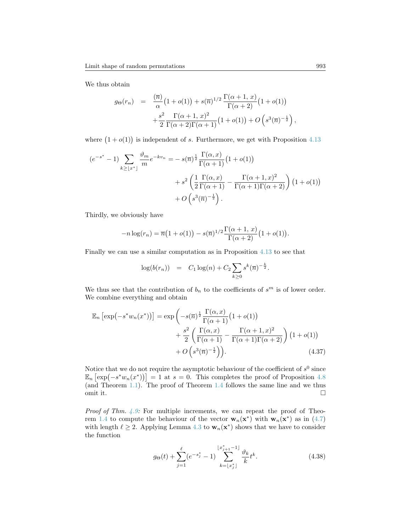We thus obtain

<span id="page-22-0"></span>
$$
g_{\Theta}(r_n) = \frac{(\overline{n})}{\alpha} (1 + o(1)) + s(\overline{n})^{1/2} \frac{\Gamma(\alpha + 1, x)}{\Gamma(\alpha + 2)} (1 + o(1)) + \frac{s^2}{2} \frac{\Gamma(\alpha + 1, x)^2}{\Gamma(\alpha + 2)\Gamma(\alpha + 1)} (1 + o(1)) + O\left(s^3(\overline{n})^{-\frac{1}{2}}\right)
$$

where  $(1+o(1))$  is independent of *s*. Furthermore, we get with Proposition [4.13](#page-20-4)

$$
(e^{-s^*} - 1) \sum_{k \geq \lfloor x^* \rfloor} \frac{\vartheta_m}{m} e^{-kv_n} = -s(\overline{n})^{\frac{1}{2}} \frac{\Gamma(\alpha, x)}{\Gamma(\alpha + 1)} (1 + o(1)) + s^2 \left( \frac{1}{2} \frac{\Gamma(\alpha, x)}{\Gamma(\alpha + 1)} - \frac{\Gamma(\alpha + 1, x)^2}{\Gamma(\alpha + 1)\Gamma(\alpha + 2)} \right) (1 + o(1)) + O\left(s^3(\overline{n})^{-\frac{1}{2}}\right).
$$

Thirdly, we obviously have

$$
-n\log(r_n) = \overline{n}(1+o(1)) - s(\overline{n})^{1/2} \frac{\Gamma(\alpha+1, x)}{\Gamma(\alpha+2)} (1+o(1)).
$$

Finally we can use a similar computation as in Proposition [4.13](#page-20-4) to see that

$$
\log(b(r_n)) = C_1 \log(n) + C_2 \sum_{k \geq 0} s^k(\overline{n})^{-\frac{k}{2}}.
$$

We thus see that the contribution of  $b_n$  to the coefficients of  $s^m$  is of lower order. We combine everything and obtain

$$
\mathbb{E}_n\left[\exp\left(-s^*w_n(x^*)\right)\right] = \exp\left(-s(\overline{n})^{\frac{1}{2}}\frac{\Gamma(\alpha, x)}{\Gamma(\alpha+1)}(1+o(1))\right) \n+ \frac{s^2}{2}\left(\frac{\Gamma(\alpha, x)}{\Gamma(\alpha+1)} - \frac{\Gamma(\alpha+1, x)^2}{\Gamma(\alpha+1)\Gamma(\alpha+2)}\right)(1+o(1)) \n+ O\left(s^3(\overline{n})^{-\frac{1}{2}}\right).
$$
\n(4.37)

Notice that we do not require the asymptotic behaviour of the coefficient of  $s^0$  since  $\mathbb{E}_n \left[ \exp(-s^* w_n(x^*)) \right] = 1$  at  $s = 0$ . This completes the proof of Proposition [4.8](#page-16-0) (and Theorem [1.1\)](#page-2-2). The proof of Theorem [1.4](#page-4-1) follows the same line and we thus omit it.  $\Box$ 

*Proof of Thm.* [4.9](#page-16-1)*:* For multiple increments, we can repeat the proof of Theo-rem [1.4](#page-4-1)to compute the behaviour of the vector  $\mathbf{w}_n(\mathbf{x}^*)$  with  $\mathbf{w}_n(\mathbf{x}^*)$  as in ([4.7](#page-13-3)) with length  $\ell \geq 2$ . Applying Lemma [4.3](#page-13-1) to  $w_n(x^*)$  shows that we have to consider the function

$$
g_{\Theta}(t) + \sum_{j=1}^{\ell} (e^{-s_j^*} - 1) \sum_{k=\lfloor x_j^* \rfloor}^{\lfloor x_{j+1}^* - 1 \rfloor} \frac{\vartheta_k}{k} t^k.
$$
 (4.38)

*,*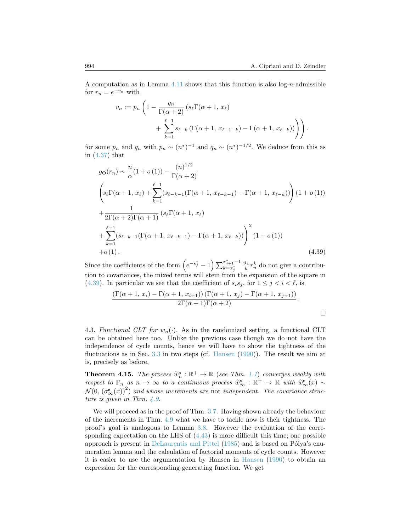A computation as in Lemma [4.11](#page-16-2) shows that this function is also log-*n*-admissible for  $r_n = e^{-v_n}$  with

$$
v_n := p_n \left( 1 - \frac{q_n}{\Gamma(\alpha + 2)} \left( s_\ell \Gamma(\alpha + 1, x_\ell) + \sum_{k=1}^{\ell-1} s_{\ell-k} \left( \Gamma(\alpha + 1, x_{\ell-1-k}) - \Gamma(\alpha + 1, x_{\ell-k}) \right) \right) \right).
$$

for some  $p_n$  and  $q_n$  with  $p_n \sim (n^*)^{-1}$  and  $q_n \sim (n^*)^{-1/2}$ . We deduce from this as in [\(4.37\)](#page-22-0) that

<span id="page-23-0"></span>
$$
g_{\Theta}(r_n) \sim \frac{\overline{n}}{\alpha} (1 + o(1)) - \frac{(\overline{n})^{1/2}}{\Gamma(\alpha + 2)}
$$
  

$$
\left( s_{\ell} \Gamma(\alpha + 1, x_{\ell}) + \sum_{k=1}^{\ell-1} (s_{\ell-k-1} (\Gamma(\alpha + 1, x_{\ell-k-1}) - \Gamma(\alpha + 1, x_{\ell-k})) \right) (1 + o(1))
$$
  

$$
+ \frac{1}{2\Gamma(\alpha + 2)\Gamma(\alpha + 1)} (s_{\ell} \Gamma(\alpha + 1, x_{\ell})
$$
  

$$
+ \sum_{k=1}^{\ell-1} (s_{\ell-k-1} (\Gamma(\alpha + 1, x_{\ell-k-1}) - \Gamma(\alpha + 1, x_{\ell-k})) \right)^2 (1 + o(1))
$$
  
+o(1). (4.39)

Since the coefficients of the form  $\left(e^{-s_j^*} - 1\right) \sum_{k=x_j^*}^{x_{j+1}^* - 1}$  $\frac{\vartheta_k}{k} r_n^k$  do not give a contribution to covariances, the mixed terms will stem from the expansion of the square in ([4.39](#page-23-0)). In particular we see that the coefficient of  $s_i s_j$ , for  $1 \leq j \leq i \leq \ell$ , is

$$
\frac{\left(\Gamma(\alpha+1, x_i) - \Gamma(\alpha+1, x_{i+1})\right)\left(\Gamma(\alpha+1, x_j) - \Gamma(\alpha+1, x_{j+1})\right)}{2\Gamma(\alpha+1)\Gamma(\alpha+2)}.
$$

4.3. *Functional CLT for*  $w_n(\cdot)$ . As in the randomized setting, a functional CLT can be obtained here too. Unlike the previous case though we do not have the independence of cycle counts, hence we will have to show the tightness of the fluctuations as in Sec. [3.3](#page-11-4) in two steps (cf. [Hansen](#page-27-12) ([1990](#page-27-12))). The result we aim at is, precisely as before,

**Theorem 4.15.** The process  $\widetilde{w}_n^s : \mathbb{R}^+ \to \mathbb{R}$  (see Thm. [1.1](#page-2-2)) converges weakly with respect to  $\mathbb{P}$  as  $n \to \infty$  to a continuous process  $\widetilde{w}_n^s : \mathbb{R}^+ \to \mathbb{R}$  with  $\widetilde{w}_n^s(x) \sim$ *respect to*  $\mathbb{P}_n$  *as*  $n \to \infty$  *to a continuous process*  $\widetilde{\mathbf{w}}_{\infty}^s : \mathbb{R}^+ \to \mathbb{R}$  with  $\widetilde{\mathbf{w}}_{\infty}^s(x) \sim$ <br> $\mathcal{N}(0, (\sigma^s, (\alpha))^2)$  and whose increments are not independent. The severings strust  $\mathcal{N}(0, (\sigma^{\mathbf{s}}_{\infty}(x))^2)$  and whose increments are not independent. The covariance struc*ture is given in Thm. [4.9](#page-16-1).*

We will proceed as in the proof of Thm. [3.7](#page-11-0). Having shown already the behaviour of the increments in Thm. [4.9](#page-16-1) what we have to tackle now is their tightness. The proof's goal is analogous to Lemma [3.8](#page-11-2). However the evaluation of the correspondingexpectation on the LHS of  $(4.43)$  $(4.43)$  is more difficult this time; one possible approach is present in [DeLaurentis and Pittel](#page-27-13)  $(1985)$  $(1985)$  and is based on Pólya's enumeration lemma and the calculation of factorial moments of cycle counts. However it is easier to use the argumentation by Hansen in [Hansen](#page-27-12) ([1990\)](#page-27-12) to obtain an expression for the corresponding generating function. We get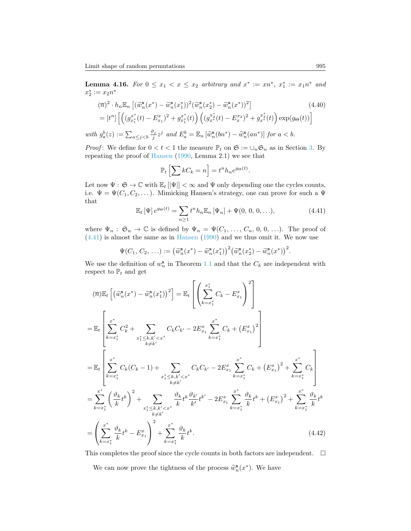**Lemma 4.16.** *For*  $0 \le x_1 < x \le x_2$  *arbitrary and*  $x^* := xn^*$ ,  $x_1^* := x_1n^*$  *and*  $x_2^* := x_2 n^*$ 

$$
(\overline{n})^2 \cdot h_n \mathbb{E}_n \left[ (\widetilde{w}_n^s(x^*) - \widetilde{w}_n^s(x_1^*))^2 (\widetilde{w}_n^s(x_2^*) - \widetilde{w}_n^s(x^*))^2 \right] \tag{4.40}
$$
  
= 
$$
[t^n] \left[ \left( (g_{x_1^*}^{x^*}(t) - E_{x_1}^x)^2 + g_{x_1^*}^{x^*}(t) \right) \left( (g_{x^*}^{x_2^*}(t) - E_x^{x_2})^2 + g_{x^*}^{x_2^*}(t) \right) \exp(g_\Theta(t)) \right]
$$

with  $g_a^b(z) := \sum_{a \leq j < b} \frac{\vartheta_j}{j} z^j$  and  $E_a^b = \mathbb{E}_n [\widetilde{w}_n^s(bn^*) - \widetilde{w}_n^s(an^*)]$  for  $a < b$ .

*Proof*: We define for  $0 < t < 1$  the measure  $\mathbb{P}_t$  on  $\mathfrak{S} := \bigcup_n \mathfrak{S}_n$  as in Section [3.](#page-7-0) By repeating the proof of [Hansen](#page-27-12) [\(1990](#page-27-12), Lemma 2.1) we see that

<span id="page-24-1"></span>
$$
\mathbb{P}_t\left[\sum kC_k = n\right] = t^n h_n e^{g\Theta(t)}.
$$

Let now  $\Psi : \mathfrak{S} \to \mathbb{C}$  with  $\mathbb{E}_t [|\Psi|] < \infty$  and  $\Psi$  only depending one the cycles counts, i.e.  $\Psi = \Psi(C_1, C_2, \dots)$ . Mimicking Hansen's strategy, one can prove for such a  $\Psi$ that

<span id="page-24-0"></span>
$$
\mathbb{E}_t \left[ \Psi \right] e^{g_{\Theta}(t)} = \sum_{n \ge 1} t^n h_n \mathbb{E}_n \left[ \Psi_n \right] + \Psi(0, 0, 0, \ldots), \tag{4.41}
$$

where  $\Psi_n: \mathfrak{S}_n \to \mathbb{C}$  is defined by  $\Psi_n = \Psi(C_1, \ldots, C_n, 0, 0, \ldots)$ . The proof of ([4.41](#page-24-0)) is almost the same as in [Hansen](#page-27-12) ([1990\)](#page-27-12) and we thus omit it. We now use

$$
\Psi(C_1, C_2, \ldots) := \big(\widetilde{w}_n^{\mathbf{s}}(x^*) - \widetilde{w}_n^{\mathbf{s}}(x_1^*)\big)^2 \big(\widetilde{w}_n^{\mathbf{s}}(x_2^*) - \widetilde{w}_n^{\mathbf{s}}(x^*)\big)^2.
$$

We use the definition of  $w_n^s$  in Theorem [1.1](#page-2-2) and that the  $C_k$  are independent with respect to  $\mathbb{P}_t$  and get

$$
(\overline{n})\mathbb{E}_{t}\left[\left(\tilde{w}_{n}^{s}(x^{*})-\tilde{w}_{n}^{s}(x_{1}^{*})\right)^{2}\right]=\mathbb{E}_{t}\left[\left(\sum_{k=x_{1}^{*}}^{x_{1}^{*}}C_{k}-E_{x_{1}}^{x}\right)^{2}\right]
$$
\n
$$
=\mathbb{E}_{t}\left[\sum_{k=x_{1}^{*}}^{x^{*}}C_{k}^{2}+\sum_{x_{1}^{*}\leq k,k'\n
$$
=\mathbb{E}_{t}\left[\sum_{k=x_{1}^{*}}^{x^{*}}C_{k}(C_{k}-1)+\sum_{x_{1}^{*}\leq k,k'\n
$$
=\sum_{k=x_{1}^{*}}^{x^{*}}\left(\frac{\vartheta_{k}}{k}t^{k}\right)^{2}+\sum_{\substack{x_{1}^{*}\leq k,k'\n
$$
=\left(\sum_{k=x_{1}^{*}}^{x^{*}}\frac{\vartheta_{k}}{k}t^{k}-E_{x_{1}}^{x}\right)^{2}+\sum_{k=x_{1}^{*}}^{x^{*}}\frac{\vartheta_{k}}{k}t^{k}.\tag{4.42}
$$
$$
$$
$$

This completes the proof since the cycle counts in both factors are independent.  $\quad \Box$ 

We can now prove the tightness of the process  $\widetilde{w}_n^{\mathbf{s}}(x^*)$ . We have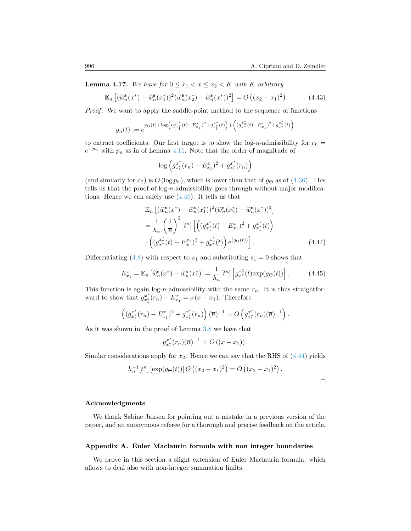**Lemma 4.17.** We have for  $0 \le x_1 < x \le x_2 < K$  with K arbitrary

<span id="page-25-1"></span>
$$
\mathbb{E}_n\left[ (\widetilde{w}_n^{\mathbf{s}}(x^*) - \widetilde{w}_n^{\mathbf{s}}(x_1^*))^2 (\widetilde{w}_n^{\mathbf{s}}(x_2^*) - \widetilde{w}_n^{\mathbf{s}}(x^*))^2 \right] = O\left( (x_2 - x_1)^2 \right). \tag{4.43}
$$

*Proof*: We want to apply the saddle-point method to the sequence of functions

$$
g_n(t) := e^{g\Theta(t) + \log\left( (g_{x_1}^{x_*}(t) - E_{x_1}^x)^2 + g_{x_1}^{x_*}(t) \right) + \left( (g_{x_*}^{x_2^*}(t) - E_{x_1}^x)^2 + g_{x_*}^{x_*^*}(t) \right)}
$$

to extract coefficients. Our first target is to show the log-*n*-admissibility for  $r_n =$  $e^{-p_n}$  with  $p_n$  as in of Lemma [4.11](#page-16-2). Note that the order of magnitude of

$$
\log \left( g_{x_1^*}^{x^*}(r_n) - E_{x_1}^x \right)^2 + g_{x_1^*}^{x^*}(r_n) \right)
$$

(and similarly for  $x_2$ ) is  $O(\log p_n)$ , which is lower than that of  $g_{\Theta}$  as of [\(4.36](#page-21-1)). This tells us that the proof of log-*n*-admissibility goes through without major modifications. Hence we can safely use [\(4.40](#page-24-1)). It tells us that

<span id="page-25-2"></span>
$$
\mathbb{E}_{n}\left[ (\widetilde{w}_{n}^{\mathbf{s}}(x^{*}) - \widetilde{w}_{n}^{\mathbf{s}}(x_{1}^{*}))^{2} (\widetilde{w}_{n}^{\mathbf{s}}(x_{2}^{*}) - \widetilde{w}_{n}^{\mathbf{s}}(x^{*}))^{2} \right] \n= \frac{1}{h_{n}} \left( \frac{1}{\overline{n}} \right)^{2} \left[ t^{n} \right] \left[ \left( (g_{x_{1}^{*}}^{x^{*}}(t) - E_{x_{1}}^{x})^{2} + g_{x_{1}^{*}}^{x^{*}}(t) \right) \cdot \left( (g_{x}^{x_{2}^{*}}(t) - E_{x_{2}^{*}}^{x})^{2} + g_{x_{2}^{*}}^{x^{*}}(t) \right) e^{(g_{\Theta}(t))} \right].
$$
\n(4.44)

Differentiating([4.8\)](#page-13-4) with respect to  $s_1$  and substituting  $s_1 = 0$  shows that

$$
E_{x_1}^x = \mathbb{E}_n \left[ \widetilde{w}_n^s(x^*) - \widetilde{w}_n^s(x_1^*) \right] = \frac{1}{h_n} [t^n] \left[ g_{x^*}^{x^*}(t) \exp(g_{\Theta}(t)) \right]. \tag{4.45}
$$

This function is again log-*n*-admissibility with the same *rn*. It is thus straightforward to show that  $g_{x_1^*}^{x^*}(r_n) - E_{x_1}^x = o(x - x_1)$ . Therefore

$$
\left( (g_{x_1^*}^{x^*}(r_n) - E_{x_1}^x)^2 + g_{x_1^*}^{x^*}(r_n) \right) (\overline{n})^{-1} = O \left( g_{x_1^*}^{x^*}(r_n) (\overline{n})^{-1} \right).
$$

As it was shown in the proof of Lemma [3.8](#page-11-2) we have that

$$
g_{x_1^*}^{x^*}(r_n)(\overline{n})^{-1} = O((x - x_1)).
$$

Similar considerations apply for  $x_2$ . Hence we can say that the RHS of  $(4.44)$  yields

$$
h_n^{-1}[t^n] \left[ \exp(g_{\Theta}(t)) \right] O\left( (x_2 - x_1)^2 \right) = O\left( (x_2 - x_1)^2 \right).
$$

#### **Acknowledgments**

We thank Sabine Jansen for pointing out a mistake in a previous version of the paper, and an anonymous referee for a thorough and precise feedback on the article.

### <span id="page-25-0"></span>**Appendix A. Euler Maclaurin formula with non integer boundaries**

We prove in this section a slight extension of Euler Maclaurin formula, which allows to deal also with non-integer summation limits.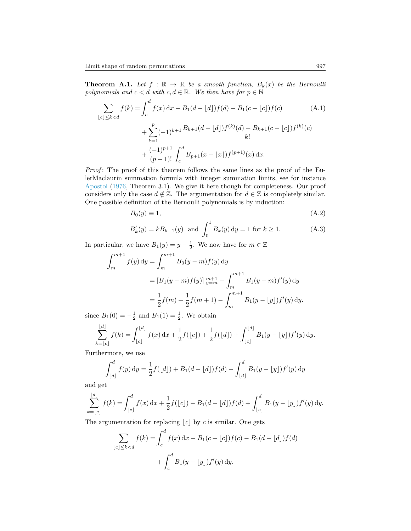**Theorem A.1.** Let  $f : \mathbb{R} \to \mathbb{R}$  be a smooth function,  $B_k(x)$  be the Bernoulli *polynomials and*  $c < d$  *with*  $c, d \in \mathbb{R}$ *. We then have for*  $p \in \mathbb{N}$ 

$$
\sum_{\lfloor c \rfloor \le k < d} f(k) = \int_{c}^{d} f(x) \, dx - B_1(d - \lfloor d \rfloor) f(d) - B_1(c - \lfloor c \rfloor) f(c) \tag{A.1}
$$
\n
$$
+ \sum_{k=1}^{p} (-1)^{k+1} \frac{B_{k+1}(d - \lfloor d \rfloor) f^{(k)}(d) - B_{k+1}(c - \lfloor c \rfloor) f^{(k)}(c)}{k!}
$$
\n
$$
+ \frac{(-1)^{p+1}}{(p+1)!} \int_{c}^{d} B_{p+1}(x - \lfloor x \rfloor) f^{(p+1)}(x) \, dx.
$$

*Proof*: The proof of this theorem follows the same lines as the proof of the EulerMaclaurin summation formula with integer summation limits, see for instance [Apostol](#page-27-11) ([1976,](#page-27-11) Theorem 3.1). We give it here though for completeness. Our proof considers only the case  $d \notin \mathbb{Z}$ . The argumentation for  $d \in \mathbb{Z}$  is completely similar. One possible definition of the Bernoulli polynomials is by induction:

$$
B_0(y) \equiv 1,\tag{A.2}
$$

$$
B'_k(y) = kB_{k-1}(y) \text{ and } \int_0^1 B_k(y) \, dy = 1 \text{ for } k \ge 1.
$$
 (A.3)

In particular, we have  $B_1(y) = y - \frac{1}{2}$ . We now have for  $m \in \mathbb{Z}$ 

$$
\int_{m}^{m+1} f(y) dy = \int_{m}^{m+1} B_{0}(y-m) f(y) dy
$$
  
=  $[B_{1}(y-m) f(y)]_{y=m}^{m+1} - \int_{m}^{m+1} B_{1}(y-m) f'(y) dy$   
=  $\frac{1}{2} f(m) + \frac{1}{2} f(m+1) - \int_{m}^{m+1} B_{1}(y - \lfloor y \rfloor) f'(y) dy.$ 

since  $B_1(0) = -\frac{1}{2}$  and  $B_1(1) = \frac{1}{2}$ . We obtain

$$
\sum_{k=\lfloor c\rfloor}^{\lfloor d\rfloor} f(k) = \int_{\lfloor c\rfloor}^{\lfloor d\rfloor} f(x) \, dx + \frac{1}{2} f(\lfloor c\rfloor) + \frac{1}{2} f(\lfloor d\rfloor) + \int_{\lfloor c\rfloor}^{\lfloor d\rfloor} B_1(y - \lfloor y\rfloor) f'(y) \, dy.
$$

Furthermore, we use

$$
\int_{\lfloor d \rfloor}^d f(y) \, dy = \frac{1}{2} f(\lfloor d \rfloor) + B_1(d - \lfloor d \rfloor) f(d) - \int_{\lfloor d \rfloor}^d B_1(y - \lfloor y \rfloor) f'(y) \, dy
$$

and get

$$
\sum_{k=\lfloor c\rfloor}^{\lfloor d\rfloor} f(k) = \int_{\lfloor c\rfloor}^d f(x) \, dx + \frac{1}{2} f(\lfloor c\rfloor) - B_1(d - \lfloor d\rfloor) f(d) + \int_{\lfloor c\rfloor}^d B_1(y - \lfloor y\rfloor) f'(y) \, dy.
$$

The argumentation for replacing  $|c|$  by  $c$  is similar. One gets

$$
\sum_{\lfloor c \rfloor \le k < d} f(k) = \int_c^d f(x) \, dx - B_1(c - \lfloor c \rfloor) f(c) - B_1(d - \lfloor d \rfloor) f(d)
$$
\n
$$
+ \int_c^d B_1(y - \lfloor y \rfloor) f'(y) \, dy.
$$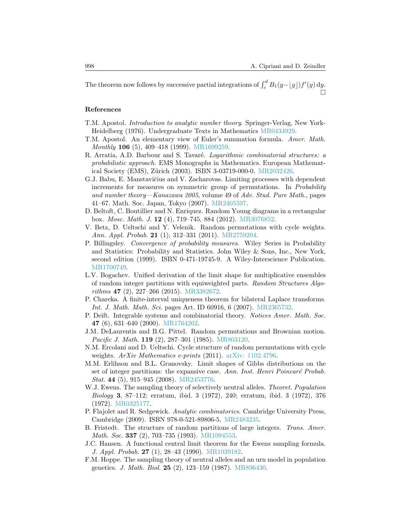The theorem now follows by successive partial integrations of  $\int_c^d B_1(y-\lfloor y\rfloor) f'(y) dy$ .  $\Box$ 

# **References**

- <span id="page-27-11"></span>T.M. Apostol. *Introduction to analytic number theory*. Springer-Verlag, New York-Heidelberg (1976). Undergraduate Texts in Mathematics [MR0434929](http://www.ams.org/mathscinet-getitem?mr=MR0434929).
- <span id="page-27-10"></span>T.M. Apostol. An elementary view of Euler's summation formula. *Amer. Math. Monthly* **106** (5), 409–418 (1999). [MR1699259.](http://www.ams.org/mathscinet-getitem?mr=MR1699259)
- <span id="page-27-3"></span>R. Arratia, A.D. Barbour and S. Tavar´e. *Logarithmic combinatorial structures: a probabilistic approach*. EMS Monographs in Mathematics. European Mathemat-ical Society (EMS), Zürich (2003). ISBN 3-03719-000-0. [MR2032426](http://www.ams.org/mathscinet-getitem?mr=MR2032426).
- <span id="page-27-17"></span>G.J. Babu, E. Manstavičius and V. Zacharovas. Limiting processes with dependent increments for measures on symmetric group of permutations. In *Probability and number theory—Kanazawa 2005*, volume 49 of *Adv. Stud. Pure Math.*, pages 41–67. Math. Soc. Japan, Tokyo (2007). [MR2405597.](http://www.ams.org/mathscinet-getitem?mr=MR2405597)
- <span id="page-27-14"></span>D. Beltoft, C. Boutillier and N. Enriquez. Random Young diagrams in a rectangular box. *Mosc. Math. J.* **12** (4), 719–745, 884 (2012). [MR3076852.](http://www.ams.org/mathscinet-getitem?mr=MR3076852)
- <span id="page-27-1"></span>V. Betz, D. Ueltschi and Y. Velenik. Random permutations with cycle weights. *Ann. Appl. Probab.* **21** (1), 312–331 (2011). [MR2759204](http://www.ams.org/mathscinet-getitem?mr=MR2759204).
- <span id="page-27-15"></span>P. Billingsley. *Convergence of probability measures*. Wiley Series in Probability and Statistics: Probability and Statistics. John Wiley & Sons, Inc., New York, second edition (1999). ISBN 0-471-19745-9. A Wiley-Interscience Publication. [MR1700749.](http://www.ams.org/mathscinet-getitem?mr=MR1700749)
- <span id="page-27-6"></span>L.V. Bogachev. Unified derivation of the limit shape for multiplicative ensembles of random integer partitions with equiweighted parts. *Random Structures Algorithms* **47** (2), 227–266 (2015). [MR3382672.](http://www.ams.org/mathscinet-getitem?mr=MR3382672)
- <span id="page-27-16"></span>P. Chareka. A finite-interval uniqueness theorem for bilateral Laplace transforms. *Int. J. Math. Math. Sci.* pages Art. ID 60916, 6 (2007). [MR2365732](http://www.ams.org/mathscinet-getitem?mr=MR2365732).
- <span id="page-27-0"></span>P. Deift. Integrable systems and combinatorial theory. *Notices Amer. Math. Soc.* **47** (6), 631–640 (2000). [MR1764262.](http://www.ams.org/mathscinet-getitem?mr=MR1764262)
- <span id="page-27-13"></span>J.M. DeLaurentis and B.G. Pittel. Random permutations and Brownian motion. *Pacific J. Math.* **119** (2), 287–301 (1985). [MR803120](http://www.ams.org/mathscinet-getitem?mr=MR803120).
- <span id="page-27-2"></span>N.M. Ercolani and D. Ueltschi. Cycle structure of random permutations with cycle weights. *ArXiv Mathematics e-prints* (2011). [arXiv: 1102.4796](http://arxiv.org/abs/1102.4796).
- <span id="page-27-7"></span>M.M. Erlihson and B.L. Granovsky. Limit shapes of Gibbs distributions on the set of integer partitions: the expansive case. Ann. Inst. Henri Poincaré Probab. *Stat.* **44** (5), 915–945 (2008). [MR2453776](http://www.ams.org/mathscinet-getitem?mr=MR2453776).
- <span id="page-27-4"></span>W.J. Ewens. The sampling theory of selectively neutral alleles. *Theoret. Population Biology* **3**, 87–112; erratum, ibid. 3 (1972), 240; erratum, ibid. 3 (1972), 376 (1972). [MR0325177.](http://www.ams.org/mathscinet-getitem?mr=MR0325177)
- <span id="page-27-9"></span>P. Flajolet and R. Sedgewick. *Analytic combinatorics*. Cambridge University Press, Cambridge (2009). ISBN 978-0-521-89806-5. [MR2483235.](http://www.ams.org/mathscinet-getitem?mr=MR2483235)
- <span id="page-27-8"></span>B. Fristedt. The structure of random partitions of large integers. *Trans. Amer. Math. Soc.* **337** (2), 703–735 (1993). [MR1094553.](http://www.ams.org/mathscinet-getitem?mr=MR1094553)
- <span id="page-27-12"></span>J.C. Hansen. A functional central limit theorem for the Ewens sampling formula. *J. Appl. Probab.* **27** (1), 28–43 (1990). [MR1039182.](http://www.ams.org/mathscinet-getitem?mr=MR1039182)
- <span id="page-27-5"></span>F.M. Hoppe. The sampling theory of neutral alleles and an urn model in population genetics. *J. Math. Biol.* **25** (2), 123–159 (1987). [MR896430](http://www.ams.org/mathscinet-getitem?mr=MR896430).